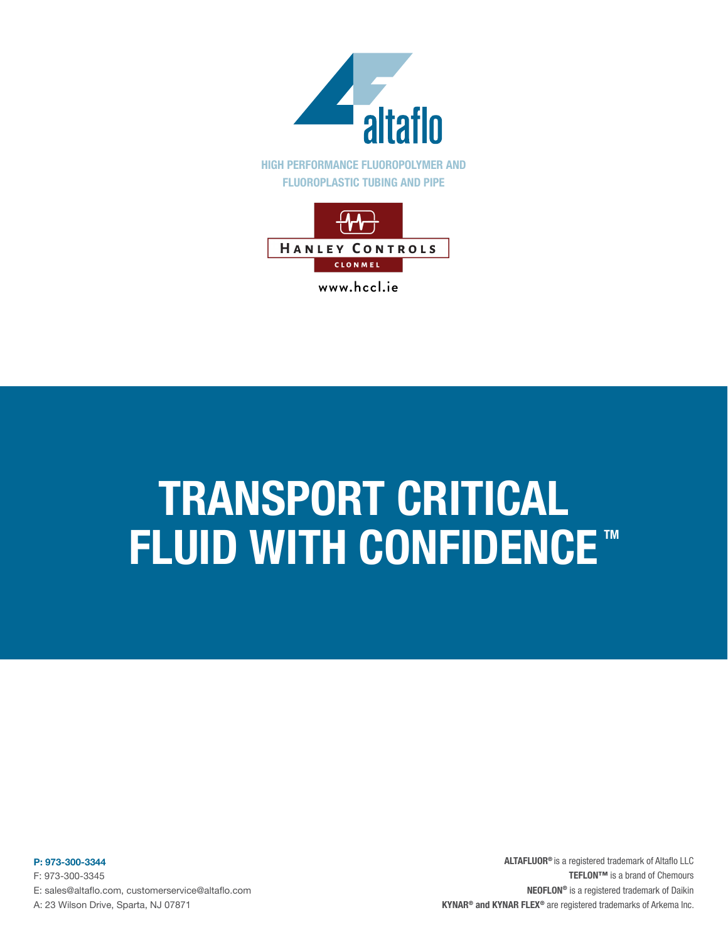

www.hccl.ie

# TRANSPORT CRITICAL **FLUID WITH CONFIDENCE™**

P: 973-300-3344 F: 973-300-3345 E: sales@altaflo.com, customerservice@altaflo.com A: 23 Wilson Drive, Sparta, NJ 07871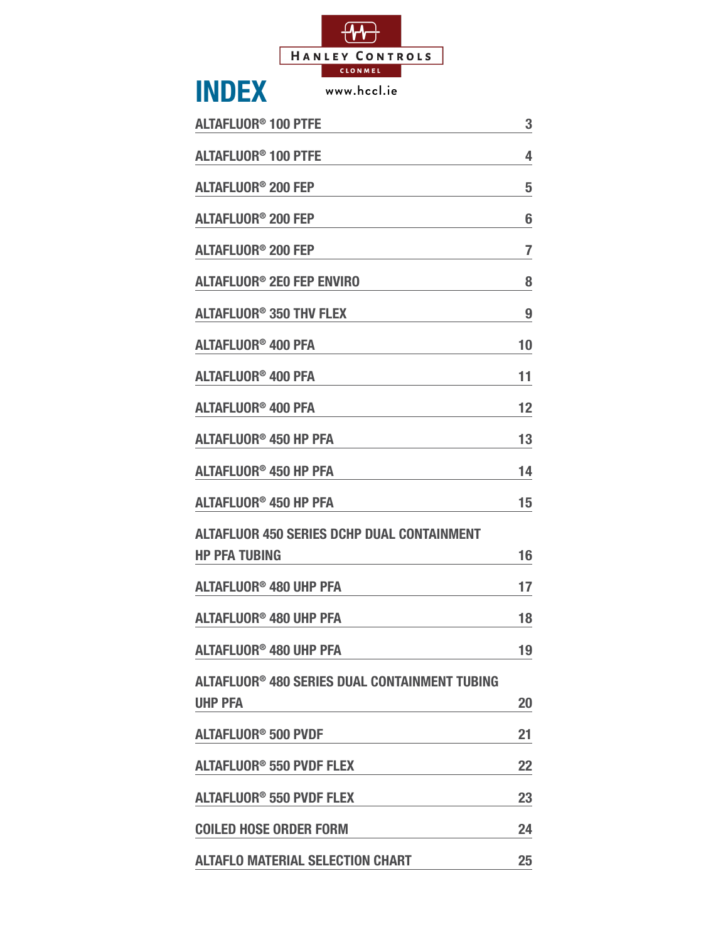

| <b>INDEX</b><br>www.hccl.ie                       |    |
|---------------------------------------------------|----|
| <b>ALTAFLUOR<sup>®</sup> 100 PTFE</b>             | 3  |
| <b>ALTAFLUOR<sup>®</sup> 100 PTFE</b>             | 4  |
| <b>ALTAFLUOR<sup>®</sup> 200 FEP</b>              | 5  |
| <b>ALTAFLUOR<sup>®</sup> 200 FEP</b>              | 6  |
| <b>ALTAFLUOR<sup>®</sup> 200 FEP</b>              | 7  |
| <b>ALTAFLUOR<sup>®</sup> 2E0 FEP ENVIRO</b>       | 8  |
| <b>ALTAFLUOR<sup>®</sup> 350 THV FLEX</b>         | 9  |
| <b>ALTAFLUOR<sup>®</sup> 400 PFA</b>              | 10 |
| <b>ALTAFLUOR® 400 PFA</b>                         | 11 |
| <b>ALTAFLUOR<sup>®</sup> 400 PFA</b>              | 12 |
| <b>ALTAFLUOR<sup>®</sup> 450 HP PFA</b>           | 13 |
| <b>ALTAFLUOR<sup>®</sup> 450 HP PFA</b>           | 14 |
| <b>ALTAFLUOR<sup>®</sup> 450 HP PFA</b>           | 15 |
| <b>ALTAFLUOR 450 SERIES DCHP DUAL CONTAINMENT</b> |    |
| <b>HP PFA TUBING</b>                              | 16 |
| <b>ALTAFLUOR<sup>®</sup> 480 UHP PFA</b>          | 17 |
| <b>ALTAFLUOR<sup>®</sup> 480 UHP PFA</b>          | 18 |
| <b>ALTAFLUOR<sup>®</sup> 480 UHP PFA</b>          | 19 |
| ALTAFLUOR® 480 SERIES DUAL CONTAINMENT TUBING     |    |
| <b>UHP PFA</b>                                    | 20 |
| <b>ALTAFLUOR<sup>®</sup> 500 PVDF</b>             | 21 |
| <b>ALTAFLUOR<sup>®</sup> 550 PVDF FLEX</b>        | 22 |
| <b>ALTAFLUOR<sup>®</sup> 550 PVDF FLEX</b>        | 23 |
| <b>COILED HOSE ORDER FORM</b>                     | 24 |
| <b>ALTAFLO MATERIAL SELECTION CHART</b>           | 25 |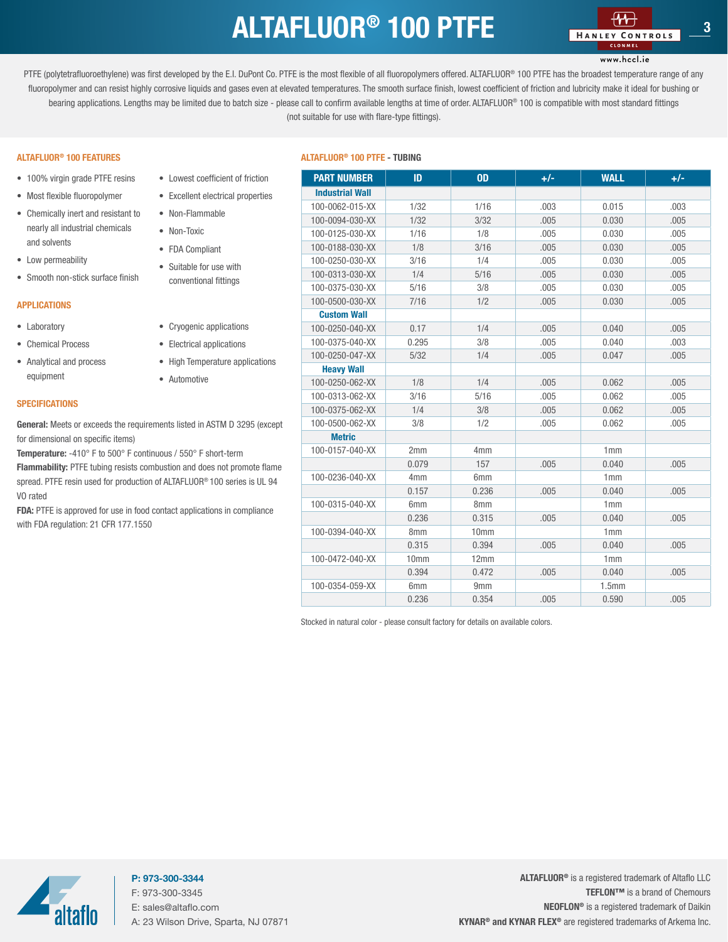### ALTAFLUOR<sup>®</sup> 100 PTFE **1980** 100 MANUS CONTROLS

#### www.hccl.ie

<span id="page-2-0"></span>PTFE (polytetrafluoroethylene) was first developed by the E.I. DuPont Co. PTFE is the most flexible of all fluoropolymers offered. ALTAFLUOR® 100 PTFE has the broadest temperature range of any fluoropolymer and can resist highly corrosive liquids and gases even at elevated temperatures. The smooth surface finish, lowest coefficient of friction and lubricity make it ideal for bushing or bearing applications. Lengths may be limited due to batch size - please call to confirm available lengths at time of order. ALTAFLUOR® 100 is compatible with most standard fittings (not suitable for use with flare-type fittings).

- 100% virgin grade PTFE resins
- Most flexible fluoropolymer
- Chemically inert and resistant to nearly all industrial chemicals and solvents
- Low permeability
- Smooth non-stick surface finish

#### APPLICATIONS

- Laboratory
- Chemical Process
- Analytical and process equipment

#### **SPECIFICATIONS**

General: Meets or exceeds the requirements listed in ASTM D 3295 (except for dimensional on specific items)

• Lowest coefficient of friction • Excellent electrical properties

• Non-Flammable • Non-Toxic • FDA Compliant • Suitable for use with conventional fittings

• Cryogenic applications • Electrical applications • High Temperature applications

• Automotive

Temperature: -410° F to 500° F continuous / 550° F short-term

Flammability: PTFE tubing resists combustion and does not promote flame spread. PTFE resin used for production of ALTAFLUOR® 100 series is UL 94 VO rated

FDA: PTFE is approved for use in food contact applications in compliance with FDA regulation: 21 CFR 177.1550

#### ALTAFLUOR® ALTAFLUOR 100 PTFE - TUBING ® 100 FEATURES

| <b>PART NUMBER</b>     | ID              | <b>OD</b>        | $+/-$ | <b>WALL</b>       | $+/-$ |
|------------------------|-----------------|------------------|-------|-------------------|-------|
| <b>Industrial Wall</b> |                 |                  |       |                   |       |
| 100-0062-015-XX        | 1/32            | 1/16             | .003  | 0.015             | .003  |
| 100-0094-030-XX        | 1/32            | 3/32             | .005  | 0.030             | .005  |
| 100-0125-030-XX        | 1/16            | 1/8              | .005  | 0.030             | .005  |
| 100-0188-030-XX        | 1/8             | 3/16             | .005  | 0.030             | .005  |
| 100-0250-030-XX        | 3/16            | 1/4              | .005  | 0.030             | .005  |
| 100-0313-030-XX        | 1/4             | 5/16             | .005  | 0.030             | .005  |
| 100-0375-030-XX        | 5/16            | 3/8              | .005  | 0.030             | .005  |
| 100-0500-030-XX        | 7/16            | 1/2              | .005  | 0.030             | .005  |
| <b>Custom Wall</b>     |                 |                  |       |                   |       |
| 100-0250-040-XX        | 0.17            | 1/4              | .005  | 0.040             | .005  |
| 100-0375-040-XX        | 0.295           | 3/8              | .005  | 0.040             | .003  |
| 100-0250-047-XX        | 5/32            | 1/4              | .005  | 0.047             | .005  |
| <b>Heavy Wall</b>      |                 |                  |       |                   |       |
| 100-0250-062-XX        | 1/8             | 1/4              | .005  | 0.062             | .005  |
| 100-0313-062-XX        | 3/16            | 5/16             | .005  | 0.062             | .005  |
| 100-0375-062-XX        | 1/4             | 3/8              | .005  | 0.062             | .005  |
| 100-0500-062-XX        | 3/8             | 1/2              | .005  | 0.062             | .005  |
| <b>Metric</b>          |                 |                  |       |                   |       |
| 100-0157-040-XX        | 2mm             | 4 <sub>mm</sub>  |       | 1mm               |       |
|                        | 0.079           | 157              | .005  | 0.040             | .005  |
| 100-0236-040-XX        | 4 <sub>mm</sub> | 6 <sub>mm</sub>  |       | 1mm               |       |
|                        | 0.157           | 0.236            | .005  | 0.040             | .005  |
| 100-0315-040-XX        | 6mm             | 8mm              |       | 1mm               |       |
|                        | 0.236           | 0.315            | .005  | 0.040             | .005  |
| 100-0394-040-XX        | 8 <sub>mm</sub> | 10 <sub>mm</sub> |       | 1mm               |       |
|                        | 0.315           | 0.394            | .005  | 0.040             | .005  |
| 100-0472-040-XX        | 10mm            | 12mm             |       | 1mm               |       |
|                        | 0.394           | 0.472            | .005  | 0.040             | .005  |
| 100-0354-059-XX        | 6 <sub>mm</sub> | 9 <sub>mm</sub>  |       | 1.5 <sub>mm</sub> |       |
|                        | 0.236           | 0.354            | .005  | 0.590             | .005  |

Stocked in natural color - please consult factory for details on available colors.



P: 973-300-3344 F: 973-300-3345 E: sales@altaflo.com A: 23 Wilson Drive, Sparta, NJ 07871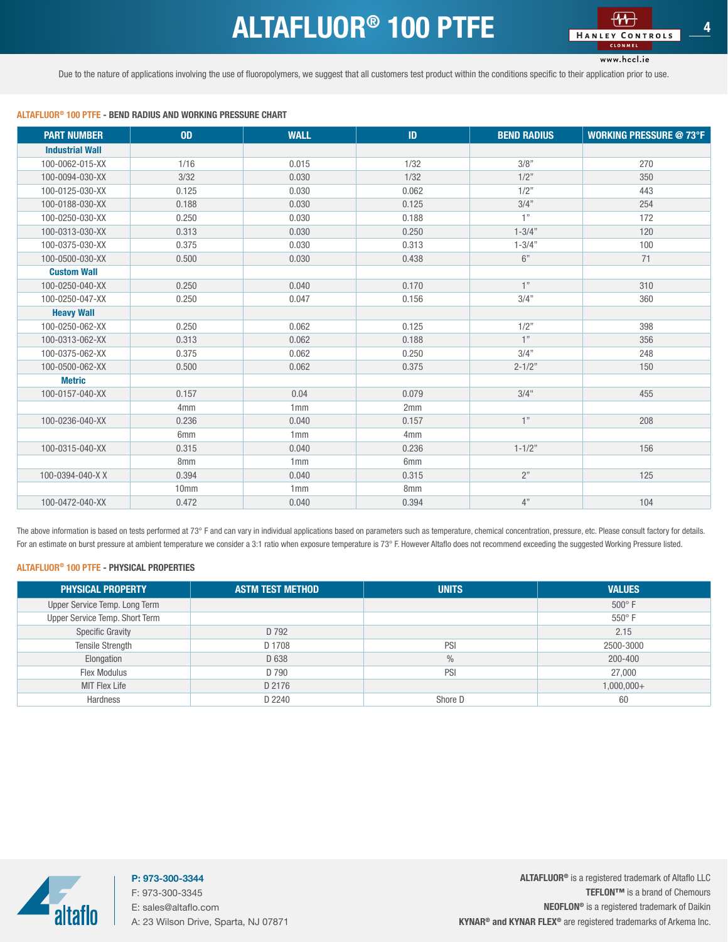### ALTAFLUOR<sup>®</sup> 100 PTFE

www.hccl.ie

<span id="page-3-0"></span>Due to the nature of applications involving the use of fluoropolymers, we suggest that all customers test product within the conditions specific to their application prior to use.

#### ALTAFLUOR® 100 PTFE - BEND RADIUS AND WORKING PRESSURE CHART

| <b>PART NUMBER</b>     | <b>OD</b>       | <b>WALL</b> | ID              | <b>BEND RADIUS</b> | <b>WORKING PRESSURE @ 73°F</b> |
|------------------------|-----------------|-------------|-----------------|--------------------|--------------------------------|
| <b>Industrial Wall</b> |                 |             |                 |                    |                                |
| 100-0062-015-XX        | 1/16            | 0.015       | 1/32            | 3/8"               | 270                            |
| 100-0094-030-XX        | 3/32            | 0.030       | 1/32            | 1/2"               | 350                            |
| 100-0125-030-XX        | 0.125           | 0.030       | 0.062           | 1/2"               | 443                            |
| 100-0188-030-XX        | 0.188           | 0.030       | 0.125           | 3/4"               | 254                            |
| 100-0250-030-XX        | 0.250           | 0.030       | 0.188           | 1"                 | 172                            |
| 100-0313-030-XX        | 0.313           | 0.030       | 0.250           | $1 - 3/4"$         | 120                            |
| 100-0375-030-XX        | 0.375           | 0.030       | 0.313           | $1 - 3/4"$         | 100                            |
| 100-0500-030-XX        | 0.500           | 0.030       | 0.438           | $6"$               | 71                             |
| <b>Custom Wall</b>     |                 |             |                 |                    |                                |
| 100-0250-040-XX        | 0.250           | 0.040       | 0.170           | 1"                 | 310                            |
| 100-0250-047-XX        | 0.250           | 0.047       | 0.156           | 3/4"               | 360                            |
| <b>Heavy Wall</b>      |                 |             |                 |                    |                                |
| 100-0250-062-XX        | 0.250           | 0.062       | 0.125           | 1/2"               | 398                            |
| 100-0313-062-XX        | 0.313           | 0.062       | 0.188           | 1"                 | 356                            |
| 100-0375-062-XX        | 0.375           | 0.062       | 0.250           | 3/4"               | 248                            |
| 100-0500-062-XX        | 0.500           | 0.062       | 0.375           | $2 - 1/2"$         | 150                            |
| <b>Metric</b>          |                 |             |                 |                    |                                |
| 100-0157-040-XX        | 0.157           | 0.04        | 0.079           | 3/4"               | 455                            |
|                        | 4 <sub>mm</sub> | 1mm         | 2mm             |                    |                                |
| 100-0236-040-XX        | 0.236           | 0.040       | 0.157           | 1"                 | 208                            |
|                        | 6mm             | 1mm         | 4 <sub>mm</sub> |                    |                                |
| 100-0315-040-XX        | 0.315           | 0.040       | 0.236           | $1 - 1/2"$         | 156                            |
|                        | 8mm             | 1mm         | 6mm             |                    |                                |
| 100-0394-040-XX        | 0.394           | 0.040       | 0.315           | 2"                 | 125                            |
|                        | 10mm            | 1mm         | 8mm             |                    |                                |
| 100-0472-040-XX        | 0.472           | 0.040       | 0.394           | 4"                 | 104                            |

The above information is based on tests performed at 73° F and can vary in individual applications based on parameters such as temperature, chemical concentration, pressure, etc. Please consult factory for details. For an estimate on burst pressure at ambient temperature we consider a 3:1 ratio when exposure temperature is 73° F. However Altaflo does not recommend exceeding the suggested Working Pressure listed.

#### ALTAFLUOR® 100 PTFE - PHYSICAL PROPERTIES

| <b>PHYSICAL PROPERTY</b>       | <b>ASTM TEST METHOD</b> | <b>UNITS</b>  | <b>VALUES</b> |
|--------------------------------|-------------------------|---------------|---------------|
| Upper Service Temp. Long Term  |                         |               | $500^\circ$ F |
| Upper Service Temp. Short Term |                         |               | $550^\circ$ F |
| <b>Specific Gravity</b>        | D 792                   |               | 2.15          |
| <b>Tensile Strength</b>        | D 1708                  | PSI           | 2500-3000     |
| Elongation                     | D 638                   | $\frac{0}{0}$ | 200-400       |
| Flex Modulus                   | D 790                   | PSI           | 27,000        |
| <b>MIT Flex Life</b>           | D 2176                  |               | $1,000,000+$  |
| Hardness                       | D 2240                  | Shore D       | 60            |



P: 973-300-3344 F: 973-300-3345 E: sales@altaflo.com A: 23 Wilson Drive, Sparta, NJ 07871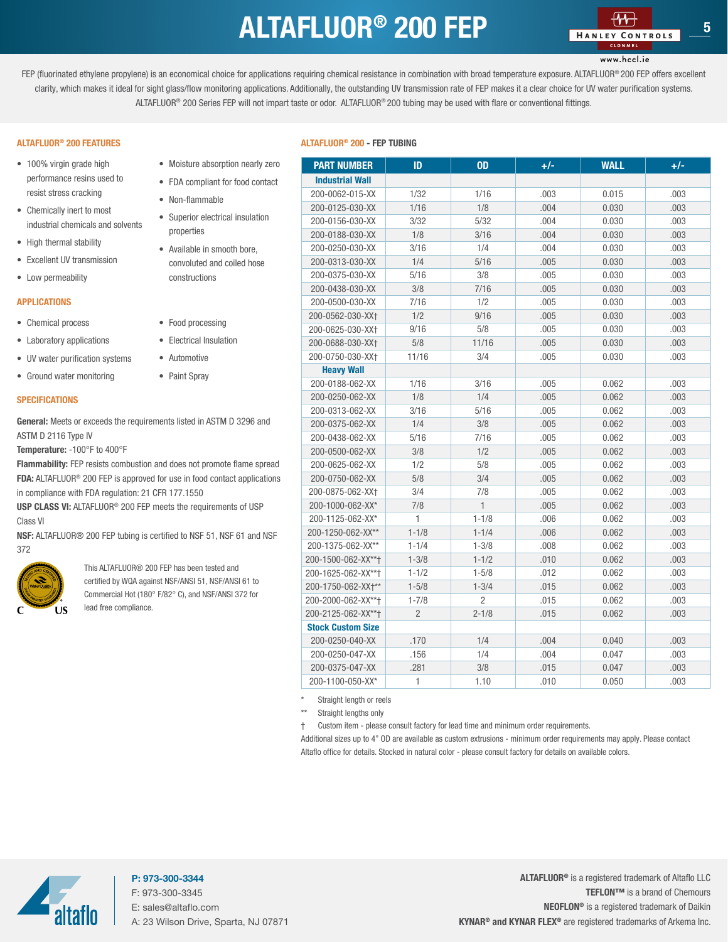### ALTAFLUOR<sup>®</sup> 200 FEP

#### www.hccl.ie

<span id="page-4-0"></span>FEP (fluorinated ethylene propylene) is an economical choice for applications requiring chemical resistance in combination with broad temperature exposure. ALTAFLUOR® 200 FEP offers excellent clarity, which makes it ideal for sight glass/flow monitoring applications. Additionally, the outstanding UV transmission rate of FEP makes it a clear choice for UV water purification systems. ALTAFLUOR® 200 Series FEP will not impart taste or odor. ALTAFLUOR® 200 tubing may be used with flare or conventional fittings.

#### ALTAFLUOR® 200 FEATURES

- 100% virgin grade high performance resins used to resist stress cracking
- Chemically inert to most industrial chemicals and solvents
- High thermal stability
- Excellent UV transmission
- Low permeability

#### APPLICATIONS

- Chemical process
- Laboratory applications

• UV water purification systems • Ground water monitoring

• Automotive

#### **SPECIFICATIONS**

General: Meets or exceeds the requirements listed in ASTM D 329 ASTM D 2116 Type IV

Temperature: -100°F to 400°F

Flammability: FEP resists combustion and does not promote flame FDA: ALTAFLUOR® 200 FEP is approved for use in food contact appl in compliance with FDA regulation: 21 CFR 177.1550

USP CLASS VI: ALTAFLUOR® 200 FEP meets the requirements of L Class VI

NSF: ALTAFLUOR® 200 FEP tubing is certified to NSF 51, NSF 61 and NSF: 372



This ALTAFLUOR® 200 FEP has been tested and certified by WQA against NSF/ANSI 51, NSF/ANSI 61 Commercial Hot (180° F/82° C), and NSF/ANSI 372 f lead free compliance.

| • Moisture absorption nearly zero    | <b>PART NUMBER</b>       | ID             | <b>OD</b>      | $+/-$ | <b>WALL</b> | $+/-$ |
|--------------------------------------|--------------------------|----------------|----------------|-------|-------------|-------|
| • FDA compliant for food contact     | <b>Industrial Wall</b>   |                |                |       |             |       |
| • Non-flammable                      | 200-0062-015-XX          | 1/32           | 1/16           | .003  | 0.015       | .003  |
|                                      | 200-0125-030-XX          | 1/16           | 1/8            | .004  | 0.030       | .003  |
| • Superior electrical insulation     | 200-0156-030-XX          | 3/32           | 5/32           | .004  | 0.030       | .003  |
| properties                           | 200-0188-030-XX          | 1/8            | 3/16           | .004  | 0.030       | .003  |
| • Available in smooth bore,          | 200-0250-030-XX          | 3/16           | 1/4            | .004  | 0.030       | .003  |
| convoluted and coiled hose           | 200-0313-030-XX          | 1/4            | 5/16           | .005  | 0.030       | .003  |
| constructions                        | 200-0375-030-XX          | 5/16           | 3/8            | .005  | 0.030       | .003  |
|                                      | 200-0438-030-XX          | 3/8            | 7/16           | .005  | 0.030       | .003  |
|                                      | 200-0500-030-XX          | 7/16           | 1/2            | .005  | 0.030       | .003  |
| • Food processing                    | 200-0562-030-XX+         | 1/2            | 9/16           | .005  | 0.030       | .003  |
|                                      | 200-0625-030-XX+         | 9/16           | 5/8            | .005  | 0.030       | .003  |
| • Electrical Insulation              | 200-0688-030-XX+         | 5/8            | 11/16          | .005  | 0.030       | .003  |
| • Automotive                         | 200-0750-030-XX+         | 11/16          | 3/4            | .005  | 0.030       | .003  |
| • Paint Spray                        | <b>Heavy Wall</b>        |                |                |       |             |       |
|                                      | 200-0188-062-XX          | 1/16           | 3/16           | .005  | 0.062       | .003  |
|                                      | 200-0250-062-XX          | 1/8            | 1/4            | .005  | 0.062       | .003  |
| ents listed in ASTM D 3296 and       | 200-0313-062-XX          | 3/16           | 5/16           | .005  | 0.062       | .003  |
|                                      | 200-0375-062-XX          | 1/4            | 3/8            | .005  | 0.062       | .003  |
|                                      | 200-0438-062-XX          | 5/16           | 7/16           | .005  | 0.062       | .003  |
|                                      | 200-0500-062-XX          | 3/8            | 1/2            | .005  | 0.062       | .003  |
| and does not promote flame spread    | 200-0625-062-XX          | 1/2            | 5/8            | .005  | 0.062       | .003  |
| for use in food contact applications | 200-0750-062-XX          | 5/8            | 3/4            | .005  | 0.062       | .003  |
| FR 177.1550                          | 200-0875-062-XX†         | 3/4            | 7/8            | .005  | 0.062       | .003  |
| neets the requirements of USP        | 200-1000-062-XX*         | 7/8            | $\mathbf{1}$   | .005  | 0.062       | .003  |
|                                      | 200-1125-062-XX*         | 1              | $1 - 1/8$      | .006  | 0.062       | .003  |
| rtified to NSF 51, NSF 61 and NSF    | 200-1250-062-XX**        | $1 - 1/8$      | $1 - 1/4$      | .006  | 0.062       | .003  |
|                                      | 200-1375-062-XX**        | $1 - 1/4$      | $1 - 3/8$      | .008  | 0.062       | .003  |
| FEP has been tested and              | 200-1500-062-XX**†       | $1 - 3/8$      | $1 - 1/2$      | .010  | 0.062       | .003  |
| st NSF/ANSI 51, NSF/ANSI 61 to       | 200-1625-062-XX**+       | $1 - 1/2$      | $1 - 5/8$      | .012  | 0.062       | .003  |
| F/82° C), and NSF/ANSI 372 for       | 200-1750-062-XX+**       | $1 - 5/8$      | $1 - 3/4$      | .015  | 0.062       | .003  |
|                                      | 200-2000-062-XX**+       | $1 - 7/8$      | $\overline{2}$ | .015  | 0.062       | .003  |
|                                      | 200-2125-062-XX**†       | $\overline{2}$ | $2 - 1/8$      | .015  | 0.062       | .003  |
|                                      | <b>Stock Custom Size</b> |                |                |       |             |       |
|                                      | 200-0250-040-XX          | .170           | 1/4            | .004  | 0.040       | .003  |
|                                      | 200-0250-047-XX          | .156           | 1/4            | .004  | 0.047       | .003  |
|                                      | 200-0375-047-XX          | .281           | 3/8            | .015  | 0.047       | .003  |
|                                      | 200-1100-050-XX*         | $\mathbf{1}$   | 1.10           | .010  | 0.050       | .003  |

Straight length or reels

Straight lengths only

† Custom item - please consult factory for lead time and minimum order requirements.

Additional sizes up to 4" OD are available as custom extrusions - minimum order requirements may apply. Please contact Altaflo office for details. Stocked in natural color - please consult factory for details on available colors.



#### P: 973-300-3344 F: 973-300-3345 E: sales@altaflo.com A: 23 Wilson Drive, Sparta, NJ 07871

ALTAFLUOR® is a registered trademark of Altaflo LLC TEFLON™ is a brand of Chemours NEOFLON® is a registered trademark of Daikin KYNAR® and KYNAR FLEX® are registered trademarks of Arkema Inc.

#### ALTAFLUOR® 200 - FEP TUBING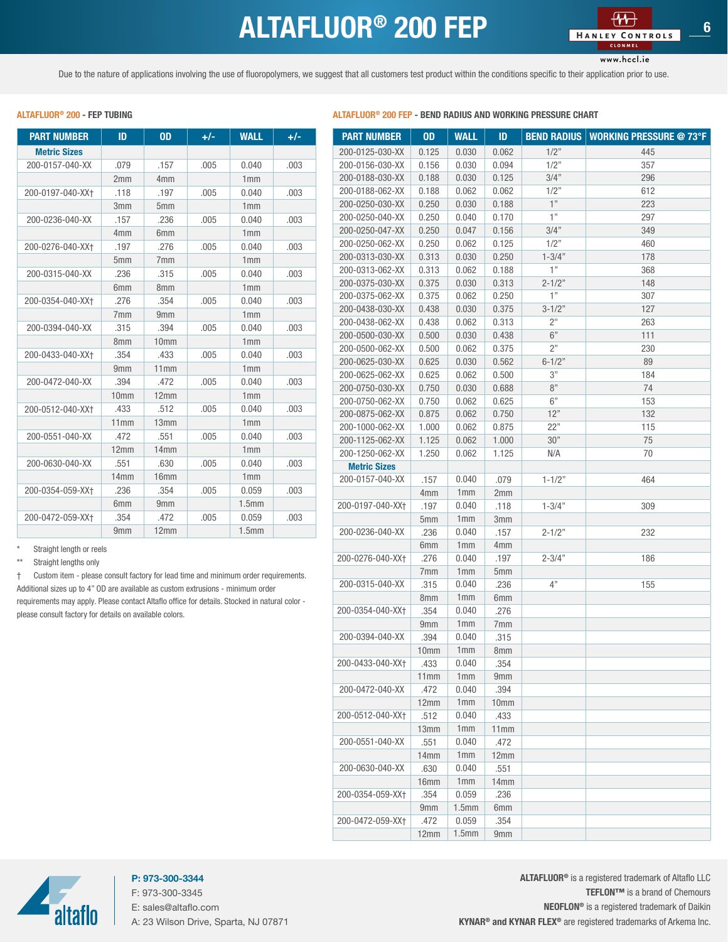### ALTAFLUOR<sup>®</sup> 200 FEP

www.hccl.ie

<span id="page-5-0"></span>Due to the nature of applications involving the use of fluoropolymers, we suggest that all customers test product within the conditions specific to their application prior to use.

#### $PART NUMBER$  ID 0D +/- WALL +/-Metric Sizes 200-0157-040-XX .079 .157 .005 0.040 .003 2mm 4mm 1mm 200-0197-040-XX† .118 .197 .005 0.040 .003 3mm 5mm 1mm 200-0236-040-XX .157 .236 .005 0.040 .003 4mm 6mm 1mm 200-0276-040-XX† .197 .276 .005 0.040 .003 5mm 7mm 1mm 200-0315-040-XX .236 .315 .005 0.040 .003 6mm 8mm 1mm 200-0354-040-XX† .276 .354 .005 0.040 .003 7mm 9mm 1mm 200-0394-040-XX .315 .394 .005 0.040 .003 8mm 10mm 1mm 200-0433-040-XX† .354 .433 .005 0.040 .003 9mm 11mm 1mm 200-0472-040-XX .394 .472 .005 0.040 .003 10mm 12mm 1mm 200-0512-040-XX† .433 .512 .005 0.040 .003 11mm 13mm 1mm 200-0551-040-XX .472 .551 .005 0.040 .003 12mm 14mm 1mm 200-0630-040-XX .551 .630 .005 0.040 .003 14mm 16mm 16mm 200-0354-059-XX† .236 .354 .005 0.059 .003 6mm 9mm 1.5mm 200-0472-059-XX† .354 .472 .005 0.059 .003 9mm 12mm 1.5mm

Straight length or reels

\*\* Straight lengths only

† Custom item - please consult factory for lead time and minimum order requirements. Additional sizes up to 4" OD are available as custom extrusions - minimum order requirements may apply. Please contact Altaflo office for details. Stocked in natural color please consult factory for details on available colors.

#### ALTAFLUOR® 200 - FEP TURING PRESSURE CHART BEND RADIUS AND WORKING PRESSURE CHART

| <b>PART NUMBER</b>  | <b>OD</b>        | <b>WALL</b>       | ID    | <b>BEND RADIUS</b> | <b>WORKING PRESSURE @ 73°F</b> |
|---------------------|------------------|-------------------|-------|--------------------|--------------------------------|
| 200-0125-030-XX     | 0.125            | 0.030             | 0.062 | 1/2"               | 445                            |
| 200-0156-030-XX     | 0.156            | 0.030             | 0.094 | 1/2"               | 357                            |
| 200-0188-030-XX     | 0.188            | 0.030             | 0.125 | 3/4"               | 296                            |
| 200-0188-062-XX     | 0.188            | 0.062             | 0.062 | 1/2"               | 612                            |
| 200-0250-030-XX     | 0.250            | 0.030             | 0.188 | 1"                 | 223                            |
| 200-0250-040-XX     | 0.250            | 0.040             | 0.170 | 1"                 | 297                            |
| 200-0250-047-XX     | 0.250            | 0.047             | 0.156 | 3/4"               | 349                            |
| 200-0250-062-XX     | 0.250            | 0.062             | 0.125 | 1/2"               | 460                            |
| 200-0313-030-XX     | 0.313            | 0.030             | 0.250 | $1 - 3/4"$         | 178                            |
| 200-0313-062-XX     | 0.313            | 0.062             | 0.188 | 1"                 | 368                            |
| 200-0375-030-XX     | 0.375            | 0.030             | 0.313 | $2 - 1/2"$         | 148                            |
| 200-0375-062-XX     | 0.375            | 0.062             | 0.250 | 1"                 | 307                            |
| 200-0438-030-XX     | 0.438            | 0.030             | 0.375 | $3 - 1/2"$         | 127                            |
| 200-0438-062-XX     | 0.438            | 0.062             | 0.313 | 2 <sup>''</sup>    | 263                            |
| 200-0500-030-XX     | 0.500            | 0.030             | 0.438 | 6"                 | 111                            |
| 200-0500-062-XX     | 0.500            | 0.062             | 0.375 | 2"                 | 230                            |
| 200-0625-030-XX     | 0.625            | 0.030             | 0.562 | $6 - 1/2"$         | 89                             |
| 200-0625-062-XX     | 0.625            | 0.062             | 0.500 | 3"                 | 184                            |
| 200-0750-030-XX     | 0.750            | 0.030             | 0.688 | 8"                 | 74                             |
| 200-0750-062-XX     |                  |                   | 0.625 | 6"                 | 153                            |
| 200-0875-062-XX     | 0.750<br>0.875   | 0.062<br>0.062    | 0.750 | 12"                | 132                            |
|                     |                  |                   |       | 22"                |                                |
| 200-1000-062-XX     | 1.000            | 0.062             | 0.875 | 30"                | 115                            |
| 200-1125-062-XX     | 1.125            | 0.062             | 1.000 |                    | 75                             |
| 200-1250-062-XX     | 1.250            | 0.062             | 1.125 | N/A                | 70                             |
| <b>Metric Sizes</b> |                  |                   |       |                    |                                |
| 200-0157-040-XX     | .157             | 0.040             | .079  | $1 - 1/2"$         | 464                            |
|                     | 4mm              | 1mm               | 2mm   |                    |                                |
| 200-0197-040-XX+    | .197             | 0.040             | .118  | $1 - 3/4"$         | 309                            |
|                     | 5mm              | 1mm               | 3mm   |                    |                                |
| 200-0236-040-XX     | .236             | 0.040             | .157  | $2 - 1/2"$         | 232                            |
|                     | 6mm              | 1mm               | 4mm   |                    |                                |
| 200-0276-040-XX+    | .276             | 0.040             | .197  | $2 - 3/4"$         | 186                            |
|                     | 7mm              | 1mm               | 5mm   |                    |                                |
| 200-0315-040-XX     | .315             | 0.040             | .236  | 4"                 | 155                            |
|                     | 8mm              | 1mm               | 6mm   |                    |                                |
| 200-0354-040-XX+    | .354             | 0.040             | .276  |                    |                                |
|                     | 9mm              | 1mm               | 7mm   |                    |                                |
| 200-0394-040-XX     | .394             | 0.040             | .315  |                    |                                |
|                     | 10mm             | 1 <sub>mm</sub>   | 8mm   |                    |                                |
| 200-0433-040-XX+    | .433             | 0.040             | .354  |                    |                                |
|                     | 11mm             | 1 <sub>mm</sub>   | 9mm   |                    |                                |
| 200-0472-040-XX     | .472             | 0.040             | .394  |                    |                                |
|                     | 12mm             | 1 <sub>mm</sub>   | 10mm  |                    |                                |
| 200-0512-040-XX+    | .512             | 0.040             | .433  |                    |                                |
|                     | 13mm             | 1 <sub>mm</sub>   | 11mm  |                    |                                |
| 200-0551-040-XX     | .551             | 0.040             | .472  |                    |                                |
|                     | 14mm             | 1mm               | 12mm  |                    |                                |
| 200-0630-040-XX     | .630             | 0.040             | .551  |                    |                                |
|                     | 16 <sub>mm</sub> | 1mm               | 14mm  |                    |                                |
| 200-0354-059-XX+    | .354             | 0.059             | .236  |                    |                                |
|                     | 9mm              | 1.5 <sub>mm</sub> | 6mm   |                    |                                |
| 200-0472-059-XX+    | .472             | 0.059             | .354  |                    |                                |
|                     | 12mm             | 1.5 <sub>mm</sub> | 9mm   |                    |                                |



P: 973-300-3344 F: 973-300-3345 E: sales@altaflo.com A: 23 Wilson Drive, Sparta, NJ 07871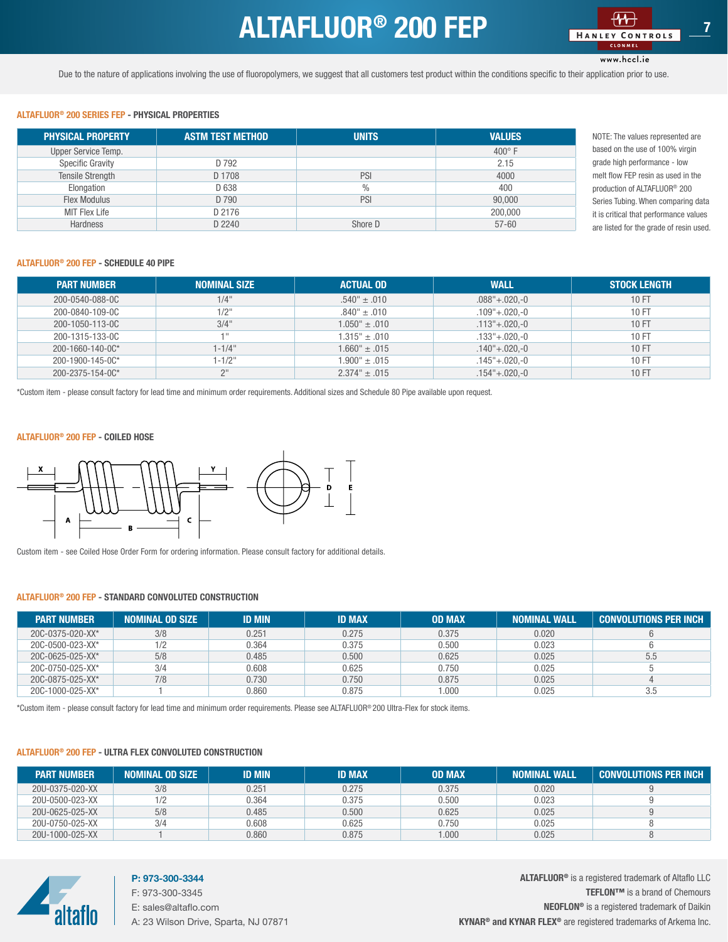### ALTAFLUOR<sup>®</sup> 200 FEP

www.hccl.ie

<span id="page-6-0"></span>Due to the nature of applications involving the use of fluoropolymers, we suggest that all customers test product within the conditions specific to their application prior to use.

#### ALTAFLUOR® 200 SERIES FEP - PHYSICAL PROPERTIES

| <b>PHYSICAL PROPERTY</b> | <b>ASTM TEST METHOD</b> | <b>UNITS</b>  | <b>VALUES</b>   |
|--------------------------|-------------------------|---------------|-----------------|
| Upper Service Temp.      |                         |               | $400^{\circ}$ F |
| Specific Gravity         | D 792                   |               | 2.15            |
| <b>Tensile Strength</b>  | D 1708                  | PSI           | 4000            |
| Elongation               | D 638                   | $\frac{0}{0}$ | 400             |
| Flex Modulus             | D 790                   | PSI           | 90,000          |
| <b>MIT Flex Life</b>     | D 2176                  |               | 200,000         |
| <b>Hardness</b>          | D 2240                  | Shore D       | $57 - 60$       |

NOTE: The values represented are based on the use of 100% virgin grade high performance - low melt flow FEP resin as used in the production of ALTAFLUOR® 200 Series Tubing. When comparing data it is critical that performance values are listed for the grade of resin used.

#### ALTAFLUOR® 200 FEP - SCHEDULE 40 PIPE

| <b>PART NUMBER</b>   | <b>NOMINAL SIZE</b> | <b>ACTUAL OD</b>                | <b>WALL</b>               | <b>STOCK LENGTH</b> |
|----------------------|---------------------|---------------------------------|---------------------------|---------------------|
| 200-0540-088-0C      | $1/4$ "             | $.540^{\circ} \pm .010^{\circ}$ | $.088^{\circ}+.020,-0$    | 10 FT               |
| 200-0840-109-0C      | $1/2$ "             | $.840" \pm .010$                | $.109^{\circ}+.020,-0$    | 10 FT               |
| 200-1050-113-0C      | 3/4"                | $1.050" \pm .010$               | $.113^{\circ}+.020,-0$    | 10 FT               |
| 200-1315-133-0C      | $-111$              | $1.315" \pm .010$               | $.133^{\circ}+.020,-0$    | 10 FT               |
| 200-1660-140-0 $C^*$ | $1 - 1/4$ "         | $1.660" \pm .015$               | $.140^{\circ} + .020, -0$ | 10 FT               |
| 200-1900-145-0C*     | $1 - 1/2$ "         | $1.900" \pm .015$               | $.145^{\circ}+.020,-0$    | 10 FT               |
| 200-2375-154-0C*     | 2 <sup>II</sup>     | $2.374" \pm .015$               | $.154^{\circ}+.020.-0$    | 10 FT               |

\*Custom item - please consult factory for lead time and minimum order requirements. Additional sizes and Schedule 80 Pipe available upon request.

#### ALTAFLUOR® 200 FEP - COILED HOSE



Custom item - see Coiled Hose Order Form for ordering information. Please consult factory for additional details.

#### ALTAFLUOR® 200 FEP - STANDARD CONVOLUTED CONSTRUCTION

| <b>PART NUMBER</b>       | <b>NOMINAL OD SIZE</b> | <b>ID MIN</b> | <b>ID MAX</b> | <b>OD MAX</b> | <b>NOMINAL WALL</b> | Gonvolutions per inch ' |
|--------------------------|------------------------|---------------|---------------|---------------|---------------------|-------------------------|
| 20C-0375-020-XX*         | 3/8                    | 0.251         | 0.275         | 0.375         | 0.020               |                         |
| 20C-0500-023-XX*         |                        | 0.364         | 0.375         | 0.500         | 0.023               |                         |
| $20C - 0625 - 025 - XX*$ | 5/8                    | 0.485         | 0.500         | 0.625         | 0.025               | 5.5                     |
| 20C-0750-025-XX*         | 3/4                    | 0.608         | 0.625         | 0.750         | 0.025               |                         |
| 20C-0875-025-XX*         | 7/8                    | 0.730         | 0.750         | 0.875         | 0.025               |                         |
| 20C-1000-025-XX*         |                        | 0.860         | 0.875         | 1.000         | 0.025               | 3.5                     |

\*Custom item - please consult factory for lead time and minimum order requirements. Please see ALTAFLUOR® 200 Ultra-Flex for stock items.

#### ALTAFLUOR® 200 FEP - ULTRA FLEX CONVOLUTED CONSTRUCTION

| <b>PART NUMBER</b> | <b>NOMINAL OD SIZE</b> | <b>ID MIN</b> | <b>ID MAX</b> | <b>OD MAX</b> | <b>NOMINAL WALL</b> | <b>CONVOLUTIONS PER INCH</b> |
|--------------------|------------------------|---------------|---------------|---------------|---------------------|------------------------------|
| 20U-0375-020-XX    | 3/8                    | 0.251         | 0.275         | 0.375         | 0.020               |                              |
| 20U-0500-023-XX    |                        | 0.364         | 0.375         | 0.500         | 0.023               |                              |
| 20U-0625-025-XX    | 5/8                    | 0.485         | 0.500         | 0.625         | 0.025               |                              |
| 20U-0750-025-XX    | 3/4                    | 0.608         | 0.625         | 0.750         | 0.025               |                              |
| 20U-1000-025-XX    |                        | 0.860         | 0.875         | 000.1         | 0.025               |                              |



### P: 973-300-3344

F: 973-300-3345 E: sales@altaflo.com A: 23 Wilson Drive, Sparta, NJ 07871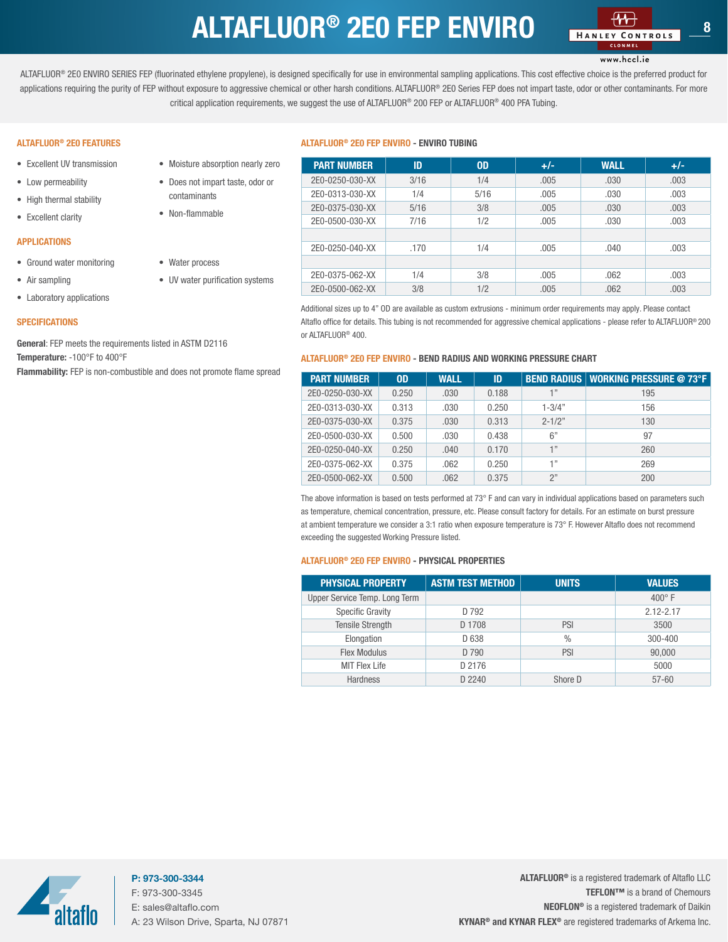## ALTAFLUOR<sup>®</sup> 2E0 FEP ENVIRO

### www.hccl.ie

<span id="page-7-0"></span>ALTAFLUOR® 2E0 ENVIRO SERIES FEP (fluorinated ethylene propylene), is designed specifically for use in environmental sampling applications. This cost effective choice is the preferred product for applications requiring the purity of FEP without exposure to aggressive chemical or other harsh conditions. ALTAFLUOR® 2E0 Series FEP does not impart taste, odor or other contaminants. For more critical application requirements, we suggest the use of ALTAFLUOR® 200 FEP or ALTAFLUOR® 400 PFA Tubing.

#### ALTAFLUOR® 2E0 FEATURES

- Excellent UV transmission
- Low permeability
- High thermal stability
- Excellent clarity

#### APPLICATIONS

- Ground water monitoring
- Air sampling
- Laboratory applications

#### **SPECIFICATIONS**

General: FEP meets the requirements listed in ASTM D2116 Temperature: -100°F to 400°F

Flammability: FEP is non-combustible and does not promote flame spread

• Moisture absorption nearly zero • Does not impart taste, odor or

• UV water purification systems

contaminants • Non-flammable

• Water process

#### ALTAFLUOR® 2E0 FEP ENVIRO - ENVIRO TUBING

| <b>PART NUMBER</b> | ID   | <b>OD</b> | $+/-$ | <b>WALL</b> | $+/-$ |
|--------------------|------|-----------|-------|-------------|-------|
| 2E0-0250-030-XX    | 3/16 | 1/4       | .005  | .030        | .003  |
| 2E0-0313-030-XX    | 1/4  | 5/16      | .005  | .030        | .003  |
| 2E0-0375-030-XX    | 5/16 | 3/8       | .005  | .030        | .003  |
| 2E0-0500-030-XX    | 7/16 | 1/2       | .005  | .030        | .003  |
|                    |      |           |       |             |       |
| 2E0-0250-040-XX    | .170 | 1/4       | .005  | .040        | .003  |
|                    |      |           |       |             |       |
| 2E0-0375-062-XX    | 1/4  | 3/8       | .005  | .062        | .003  |
| 2E0-0500-062-XX    | 3/8  | 1/2       | .005  | .062        | .003  |

Additional sizes up to 4" OD are available as custom extrusions - minimum order requirements may apply. Please contact Altaflo office for details. This tubing is not recommended for aggressive chemical applications - please refer to ALTAFLUOR® 200 or ALTAFLUOR® 400.

#### ALTAFLUOR® 2E0 FEP ENVIRO - BEND RADIUS AND WORKING PRESSURE CHART

| <b>PART NUMBER</b> | 0 <sub>D</sub> | <b>WALL</b> | ID    |            | <b>BEND RADIUS   WORKING PRESSURE @ 73°F</b> |
|--------------------|----------------|-------------|-------|------------|----------------------------------------------|
| 2E0-0250-030-XX    | 0.250          | .030        | 0.188 | 1"         | 195                                          |
| 2E0-0313-030-XX    | 0.313          | .030        | 0.250 | $1 - 3/4"$ | 156                                          |
| 2E0-0375-030-XX    | 0.375          | .030        | 0.313 | $2 - 1/2"$ | 130                                          |
| 2E0-0500-030-XX    | 0.500          | .030        | 0.438 | 6"         | 97                                           |
| 2E0-0250-040-XX    | 0.250          | .040        | 0.170 | 1"         | 260                                          |
| 2E0-0375-062-XX    | 0.375          | .062        | 0.250 | 1"         | 269                                          |
| 2E0-0500-062-XX    | 0.500          | .062        | 0.375 | 2"         | 200                                          |

The above information is based on tests performed at 73° F and can vary in individual applications based on parameters such as temperature, chemical concentration, pressure, etc. Please consult factory for details. For an estimate on burst pressure at ambient temperature we consider a 3:1 ratio when exposure temperature is 73° F. However Altaflo does not recommend exceeding the suggested Working Pressure listed.

#### ALTAFLUOR® 2E0 FEP ENVIRO - PHYSICAL PROPERTIES

| <b>PHYSICAL PROPERTY</b>      | <b>ASTM TEST METHOD</b> | <b>UNITS</b>  | <b>VALUES</b> |
|-------------------------------|-------------------------|---------------|---------------|
| Upper Service Temp. Long Term |                         |               | $400^\circ$ F |
| Specific Gravity              | D 792                   |               | $2.12 - 2.17$ |
| <b>Tensile Strength</b>       | D 1708                  | PSI           | 3500          |
| Elongation                    | D 638                   | $\frac{0}{0}$ | 300-400       |
| Flex Modulus                  | D 790                   | PSI           | 90,000        |
| <b>MIT Flex Life</b>          | D 2176                  |               | 5000          |
| <b>Hardness</b>               | D 2240                  | Shore D       | $57 - 60$     |

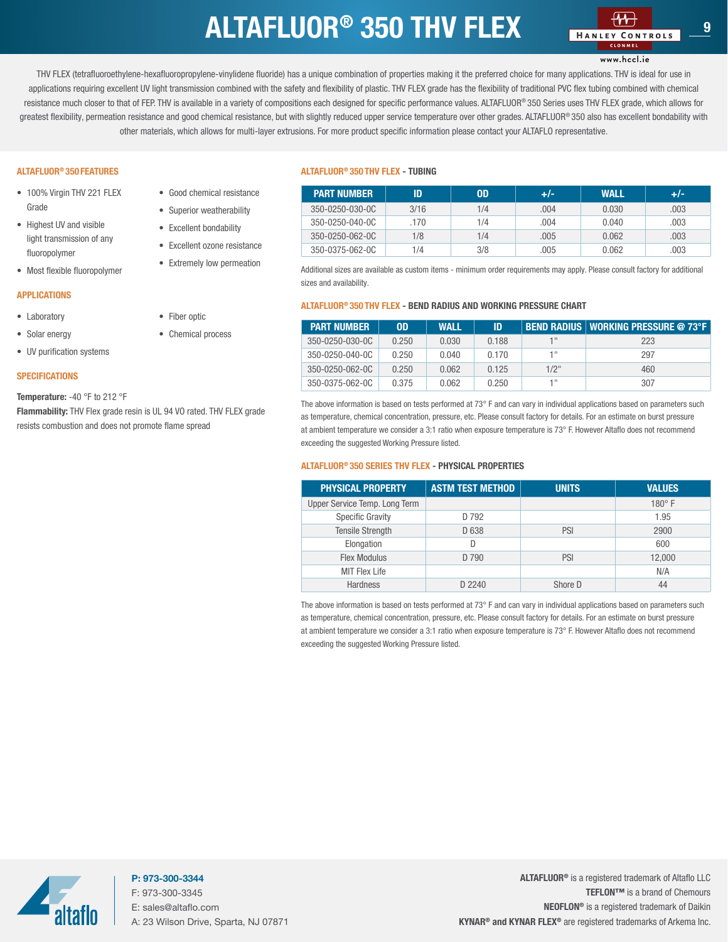## $ALTAFLUOR<sup>®</sup>$  350 THV FLEX

www.hccl.ie

<span id="page-8-0"></span>THV FLEX (tetrafluoroethylene-hexafluoropropylene-vinylidene fluoride) has a unique combination of properties making it the preferred choice for many applications. THV is ideal for use in applications requiring excellent UV light transmission combined with the safety and flexibility of plastic. THV FLEX grade has the flexibility of traditional PVC flex tubing combined with chemical resistance much closer to that of FEP. THV is available in a variety of compositions each designed for specific performance values. ALTAFLUOR® 350 Series uses THV FLEX grade, which allows for greatest flexibility, permeation resistance and good chemical resistance, but with slightly reduced upper service temperature over other grades. ALTAFLUOR® 350 also has excellent bondability with other materials, which allows for multi-layer extrusions. For more product specific information please contact your ALTAFLO representative.

#### ALTAFLUOR® 350 FEATURES

- 100% Virgin THV 221 FLEX Grade
- Highest UV and visible light transmission of any fluoropolymer
- Most flexible fluoropolymer

#### APPLICATIONS

- Laboratory
- Solar energy
- UV purification systems

#### **SPECIFICATIONS**

#### Temperature: -40 °F to 212 °F

Flammability: THV Flex grade resin is UL 94 VO rated. THV FLEX grade resists combustion and does not promote flame spread

• Good chemical resistance • Superior weatherability • Excellent bondability • Excellent ozone resistance • Extremely low permeation

• Fiber optic • Chemical process

#### ALTAFLUOR® 350 THV FLEX - TUBING

| <b>PART NUMBER</b> | ID   | OD. | +/-  | <b>WALL</b> | $+/-$ |
|--------------------|------|-----|------|-------------|-------|
| 350-0250-030-0C    | 3/16 | 1/4 | .004 | 0.030       | .003  |
| 350-0250-040-0C    | 170  | 1/4 | .004 | 0.040       | .003  |
| 350-0250-062-00    | 1/8  | 1/4 | .005 | 0.062       | .003  |
| 350-0375-062-0C    | 1/4  | 3/8 | .005 | 0.062       | .003  |

Additional sizes are available as custom items - minimum order requirements may apply. Please consult factory for additional sizes and availability.

#### ALTAFLUOR® 350 THV FLEX - BEND RADIUS AND WORKING PRESSURE CHART

| <b>PART NUMBER</b> | 0 <sub>D</sub> | <b>WALL</b> | ID    |         | BEND RADIUS   WORKING PRESSURE @ 73°F |
|--------------------|----------------|-------------|-------|---------|---------------------------------------|
| 350-0250-030-0C    | 0.250          | 0.030       | 0.188 | 1 !!    | 223                                   |
| 350-0250-040-0C    | 0.250          | 0.040       | 0.170 | 1 !!    | 297                                   |
| 350-0250-062-0C    | 0.250          | 0.062       | 0.125 | $1/2$ " | 460                                   |
| 350-0375-062-0C    | 0.375          | 0.062       | 0.250 | 4 !!    | 307                                   |

The above information is based on tests performed at 73° F and can vary in individual applications based on parameters such as temperature, chemical concentration, pressure, etc. Please consult factory for details. For an estimate on burst pressure at ambient temperature we consider a 3:1 ratio when exposure temperature is 73° F. However Altaflo does not recommend exceeding the suggested Working Pressure listed.

#### ALTAFLUOR® 350 SERIES THV FLEX - PHYSICAL PROPERTIES

| <b>PHYSICAL PROPERTY</b>      | <b>ASTM TEST METHOD</b> | <b>UNITS</b> | <b>VALUES</b> |
|-------------------------------|-------------------------|--------------|---------------|
| Upper Service Temp. Long Term |                         |              | $180^\circ$ F |
| Specific Gravity              | D 792                   |              | 1.95          |
| <b>Tensile Strength</b>       | D 638                   | PSI          | 2900          |
| Elongation                    | D                       |              | 600           |
| <b>Flex Modulus</b>           | D 790                   | PSI          | 12,000        |
| <b>MIT Flex Life</b>          |                         |              | N/A           |
| Hardness                      | D 2240                  | Shore D      | 44            |

The above information is based on tests performed at 73° F and can vary in individual applications based on parameters such as temperature, chemical concentration, pressure, etc. Please consult factory for details. For an estimate on burst pressure at ambient temperature we consider a 3:1 ratio when exposure temperature is 73° F. However Altaflo does not recommend exceeding the suggested Working Pressure listed.

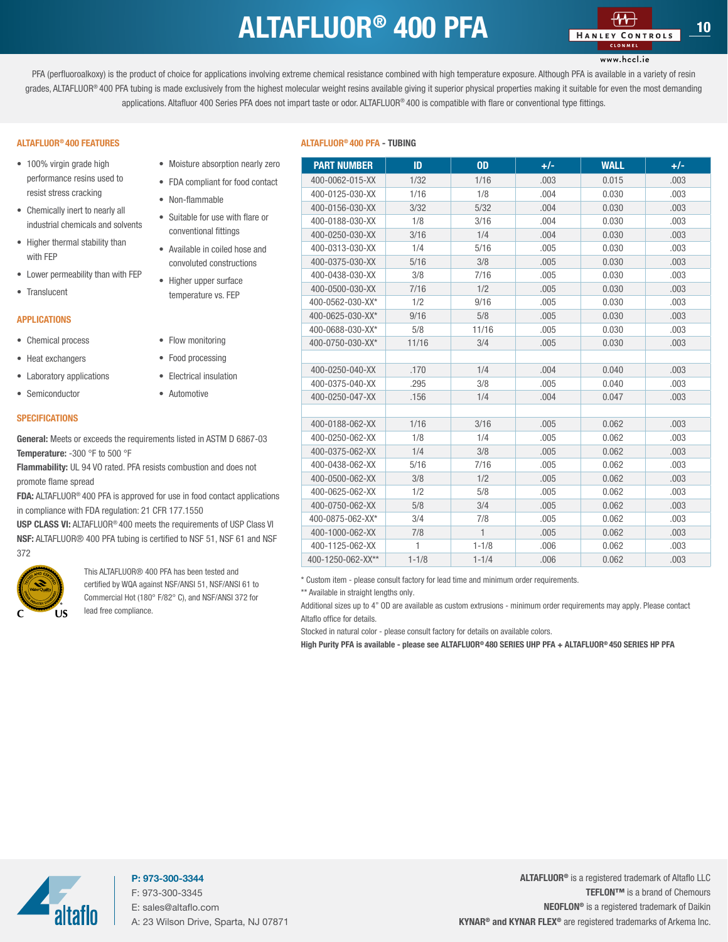### ALTAFLUOR<sup>®</sup> 400 PFA

### www.hccl.ie

<span id="page-9-0"></span>PFA (perfluoroalkoxy) is the product of choice for applications involving extreme chemical resistance combined with high temperature exposure. Although PFA is available in a variety of resin grades, ALTAFLUOR® 400 PFA tubing is made exclusively from the highest molecular weight resins available giving it superior physical properties making it suitable for even the most demanding applications. Altafluor 400 Series PFA does not impart taste or odor. ALTAFLUOR® 400 is compatible with flare or conventional type fittings.

#### ALTAFLUOR® 400 FEATURES

- 100% virgin grade high performance resins used to resist stress cracking
- Chemically inert to nearly all industrial chemicals and solvents
- Higher thermal stability than with FEP
- Lower permeability than with FEP
- Translucent

#### APPLICATIONS

- Chemical process
- Heat exchangers
- Laboratory applications
- Semiconductor

#### **SPECIFICATIONS**

General: Meets or exceeds the requirements listed in ASTM D 6867-03 Temperature: -300 °F to 500 °F

Flammability: UL 94 VO rated. PFA resists combustion and does not promote flame spread

FDA: ALTAFLUOR<sup>®</sup> 400 PFA is approved for use in food contact applications. in compliance with FDA regulation: 21 CFR 177.1550

**USP CLASS VI:** ALTAFLUOR<sup>®</sup> 400 meets the requirements of USP Class NSF: ALTAFLUOR<sup>®</sup> 400 PFA tubing is certified to NSF 51, NSF 61 and N 372



This ALTAFLUOR® 400 PFA has been tested and certified by WQA against NSF/ANSI 51, NSF/ANSI 61 to Commercial Hot (180° F/82° C), and NSF/ANSI 372 for lead free compliance.

#### ALTAFLUOR® 400 PFA - TUBING

| $+/-$<br>.003 |
|---------------|
|               |
|               |
| .003          |
| .003          |
| .003          |
| .003          |
| .003          |
| .003          |
| .003          |
| .003          |
| .003          |
| .003          |
| .003          |
| .003          |
|               |
| .003          |
| .003          |
| .003          |
|               |
| .003          |
| .003          |
| .003          |
| .003          |
| .003          |
| .003          |
| .003          |
| .003          |
| .003          |
| .003          |
| .003          |
|               |

\* Custom item - please consult factory for lead time and minimum order requirements.

\*\* Available in straight lengths only.

Additional sizes up to 4" OD are available as custom extrusions - minimum order requirements may apply. Please contact Altaflo office for details.

Stocked in natural color - please consult factory for details on available colors.

High Purity PFA is available - please see ALTAFLUOR® 480 SERIES UHP PFA + ALTAFLUOR® 450 SERIES HP PFA

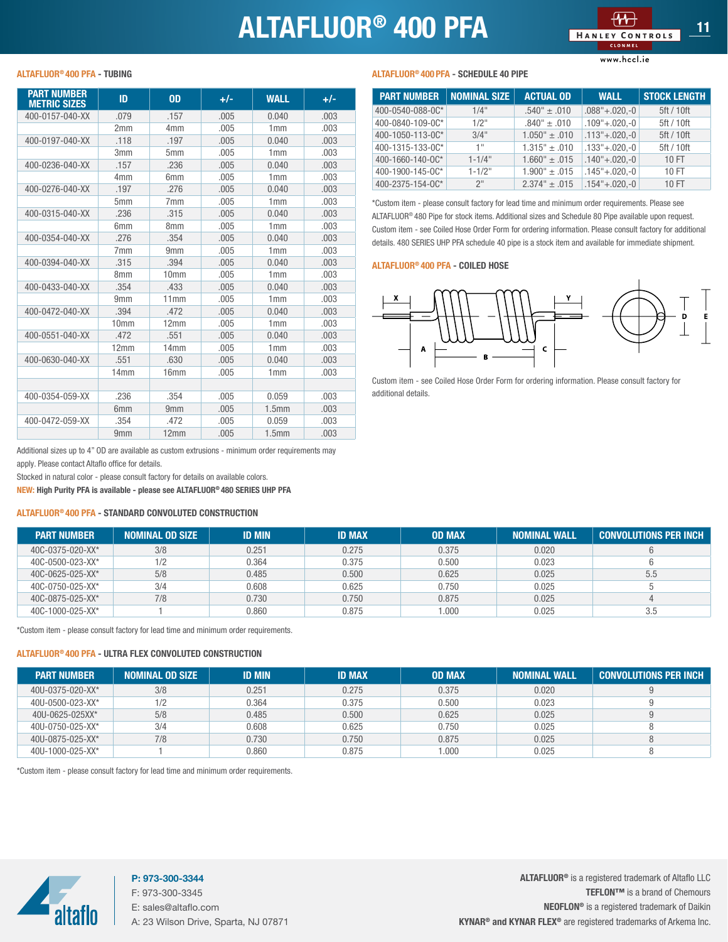## ALTAFLUOR<sup>®</sup> 400 PFA

www.hccl.ie

<span id="page-10-0"></span>

| <b>PART NUMBER</b><br><b>METRIC SIZES</b> | ID               | <b>OD</b>        | +/-  | <b>WALL</b>       | +/-  |
|-------------------------------------------|------------------|------------------|------|-------------------|------|
| 400-0157-040-XX                           | .079             | .157             | .005 | 0.040             | .003 |
|                                           | 2mm              | 4 <sub>mm</sub>  | .005 | 1mm               | .003 |
| 400-0197-040-XX                           | .118             | .197             | .005 | 0.040             | .003 |
|                                           | 3mm              | 5mm              | .005 | 1mm               | .003 |
| 400-0236-040-XX                           | .157             | .236             | .005 | 0.040             | .003 |
|                                           | 4 <sub>mm</sub>  | 6 <sub>mm</sub>  | .005 | 1mm               | .003 |
| 400-0276-040-XX                           | .197             | .276             | .005 | 0.040             | .003 |
|                                           | 5 <sub>mm</sub>  | 7 <sub>mm</sub>  | .005 | 1mm               | .003 |
| 400-0315-040-XX                           | .236             | .315             | .005 | 0.040             | .003 |
|                                           | 6 <sub>mm</sub>  | 8 <sub>mm</sub>  | .005 | 1mm               | .003 |
| 400-0354-040-XX                           | .276             | .354             | .005 | 0.040             | .003 |
|                                           | 7 <sub>mm</sub>  | 9 <sub>mm</sub>  | .005 | 1mm               | .003 |
| 400-0394-040-XX                           | .315             | .394             | .005 | 0.040             | .003 |
|                                           | 8 <sub>mm</sub>  | 10 <sub>mm</sub> | .005 | 1mm               | .003 |
| 400-0433-040-XX                           | .354             | .433             | .005 | 0.040             | .003 |
|                                           | 9 <sub>mm</sub>  | 11mm             | .005 | 1mm               | .003 |
| 400-0472-040-XX                           | .394             | .472             | .005 | 0.040             | .003 |
|                                           | 10 <sub>mm</sub> | 12mm             | .005 | 1mm               | .003 |
| 400-0551-040-XX                           | .472             | .551             | .005 | 0.040             | .003 |
|                                           | 12mm             | 14mm             | .005 | 1mm               | .003 |
| 400-0630-040-XX                           | .551             | .630             | .005 | 0.040             | .003 |
|                                           | 14 <sub>mm</sub> | 16mm             | .005 | 1mm               | .003 |
|                                           |                  |                  |      |                   |      |
| 400-0354-059-XX                           | .236             | .354             | .005 | 0.059             | .003 |
|                                           | 6 <sub>mm</sub>  | 9 <sub>mm</sub>  | .005 | 1.5 <sub>mm</sub> | .003 |
| 400-0472-059-XX                           | .354             | .472             | .005 | 0.059             | .003 |
|                                           | 9 <sub>mm</sub>  | 12mm             | .005 | 1.5 <sub>mm</sub> | .003 |

PART NUMBER | NOMINAL SIZE | ACTUAL OD | WALL | STOCK LENGTH 400-0540-088-0C\* 1/4" .540" ± .010 .088"+.020,-0 5ft / 10ft 400-0840-109-0C\* 1/2" .840" ± .010 .109"+.020,-0 5ft / 10ft  $400-1050-113-00$ <sup>\*</sup> 3/4" 1.050" ± .010 .113" + .020, -0 5ft / 10ft  $400-1315-133-00$ <sup>\*</sup> 1" 1.315" ± .010 .133" + .020,-0 5ft / 10ft  $400-1660-140-00$ <sup>\*</sup>  $1-1/4$ "  $1.660$ "  $\pm .015$   $1.40$ "  $\pm .020,-0$  10 FT 400-1900-145-0 $\text{C*}$  1-1/2" 1.900"  $\pm$  .015 .145"+.020,-0 10 FT  $400-2375-154-00^*$  2" 2.374" ± .015 .154" + .020,-0 10 FT

\*Custom item - please consult factory for lead time and minimum order requirements. Please see ALTAFLUOR® 480 Pipe for stock items. Additional sizes and Schedule 80 Pipe available upon request. Custom item - see Coiled Hose Order Form for ordering information. Please consult factory for additional details. 480 SERIES UHP PFA schedule 40 pipe is a stock item and available for immediate shipment.

#### ALTAFLUOR® 400 PFA - COILED HOSE



Custom item - see Coiled Hose Order Form for ordering information. Please consult factory for additional details.

Additional sizes up to 4" OD are available as custom extrusions - minimum order requirements may apply. Please contact Altaflo office for details.

Stocked in natural color - please consult factory for details on available colors.

NEW: High Purity PFA is available - please see ALTAFLUOR® 480 SERIES UHP PFA

#### ALTAFLUOR® 400 PFA - STANDARD CONVOLUTED CONSTRUCTION

| <b>PART NUMBER</b>       | <b>NOMINAL OD SIZE</b> | <b>ID MIN</b> | <b>ID MAX</b> | <b>OD MAX</b> | <b>NOMINAL WALL</b> | <b>CONVOLUTIONS PER INCH</b> |
|--------------------------|------------------------|---------------|---------------|---------------|---------------------|------------------------------|
| 40C-0375-020-XX*         | 3/8                    | 0.251         | 0.275         | 0.375         | 0.020               |                              |
| 40C-0500-023-XX*         | 1/2                    | 0.364         | 0.375         | 0.500         | 0.023               |                              |
| $40C - 0625 - 025 - XX*$ | 5/8                    | 0.485         | 0.500         | 0.625         | 0.025               | 5.5                          |
| 40C-0750-025-XX*         | 3/4                    | 0.608         | 0.625         | 0.750         | 0.025               |                              |
| $40C - 0875 - 025 - XX*$ | 7/8                    | 0.730         | 0.750         | 0.875         | 0.025               |                              |
| 40C-1000-025-XX*         |                        | 0.860         | 0.875         | 0.000         | 0.025               | 3.5                          |

\*Custom item - please consult factory for lead time and minimum order requirements.

### ALTAFLUOR® 400 PFA - ULTRA FLEX CONVOLUTED CONSTRUCTION

| <b>PART NUMBER</b> | <b>NOMINAL OD SIZE</b> | <b>ID MIN</b> | <b>ID MAX</b> | <b>OD MAX</b> | <b>NOMINAL WALL</b> | <b>CONVOLUTIONS PER INCH</b> |
|--------------------|------------------------|---------------|---------------|---------------|---------------------|------------------------------|
| 40U-0375-020-XX*   | 3/8                    | 0.251         | 0.275         | 0.375         | 0.020               |                              |
| 40U-0500-023-XX*   | 1/2                    | 0.364         | 0.375         | 0.500         | 0.023               |                              |
| 40U-0625-025XX*    | 5/8                    | 0.485         | 0.500         | 0.625         | 0.025               |                              |
| 40U-0750-025-XX*   | 3/4                    | 0.608         | 0.625         | 0.750         | 0.025               |                              |
| 40U-0875-025-XX*   | 7/8                    | 0.730         | 0.750         | 0.875         | 0.025               |                              |
| 40U-1000-025-XX*   |                        | 0.860         | 0.875         | 1.000         | 0.025               |                              |

\*Custom item - please consult factory for lead time and minimum order requirements.

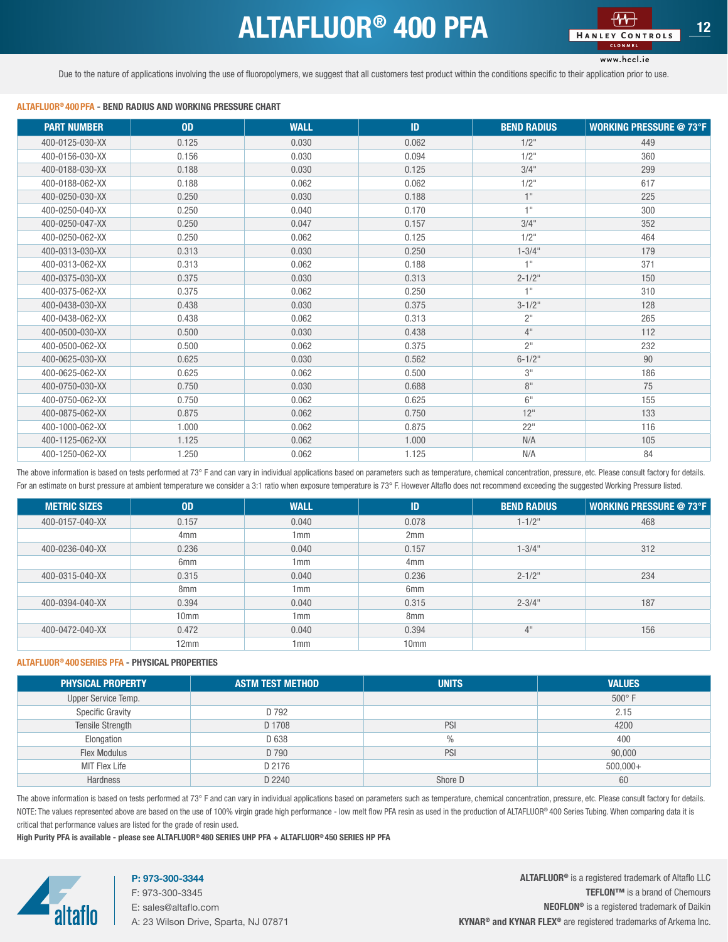## ALTAFLUOR<sup>®</sup> 400 PFA **12 ALTAFLUOR<sup>®</sup>** 400 PFA

www.hccl.ie

<span id="page-11-0"></span>Due to the nature of applications involving the use of fluoropolymers, we suggest that all customers test product within the conditions specific to their application prior to use.

#### ALTAFLUOR® 400 PFA - BEND RADIUS AND WORKING PRESSURE CHART

| <b>PART NUMBER</b> | 0 <sub>D</sub> | <b>WALL</b> | ID    | <b>BEND RADIUS</b> | <b>WORKING PRESSURE @ 73°F</b> |
|--------------------|----------------|-------------|-------|--------------------|--------------------------------|
| 400-0125-030-XX    | 0.125          | 0.030       | 0.062 | $1/2$ "            | 449                            |
| 400-0156-030-XX    | 0.156          | 0.030       | 0.094 | $1/2$ "            | 360                            |
| 400-0188-030-XX    | 0.188          | 0.030       | 0.125 | 3/4"               | 299                            |
| 400-0188-062-XX    | 0.188          | 0.062       | 0.062 | $1/2$ "            | 617                            |
| 400-0250-030-XX    | 0.250          | 0.030       | 0.188 | 1"                 | 225                            |
| 400-0250-040-XX    | 0.250          | 0.040       | 0.170 | 1"                 | 300                            |
| 400-0250-047-XX    | 0.250          | 0.047       | 0.157 | 3/4"               | 352                            |
| 400-0250-062-XX    | 0.250          | 0.062       | 0.125 | $1/2$ "            | 464                            |
| 400-0313-030-XX    | 0.313          | 0.030       | 0.250 | $1 - 3/4$ "        | 179                            |
| 400-0313-062-XX    | 0.313          | 0.062       | 0.188 | 1 <sup>0</sup>     | 371                            |
| 400-0375-030-XX    | 0.375          | 0.030       | 0.313 | $2 - 1/2$ "        | 150                            |
| 400-0375-062-XX    | 0.375          | 0.062       | 0.250 | 1 <sup>11</sup>    | 310                            |
| 400-0438-030-XX    | 0.438          | 0.030       | 0.375 | $3 - 1/2$ "        | 128                            |
| 400-0438-062-XX    | 0.438          | 0.062       | 0.313 | 2 <sup>11</sup>    | 265                            |
| 400-0500-030-XX    | 0.500          | 0.030       | 0.438 | 4"                 | 112                            |
| 400-0500-062-XX    | 0.500          | 0.062       | 0.375 | 2 <sup>11</sup>    | 232                            |
| 400-0625-030-XX    | 0.625          | 0.030       | 0.562 | $6 - 1/2$ "        | 90                             |
| 400-0625-062-XX    | 0.625          | 0.062       | 0.500 | 3"                 | 186                            |
| 400-0750-030-XX    | 0.750          | 0.030       | 0.688 | 8"                 | 75                             |
| 400-0750-062-XX    | 0.750          | 0.062       | 0.625 | 6"                 | 155                            |
| 400-0875-062-XX    | 0.875          | 0.062       | 0.750 | 12"                | 133                            |
| 400-1000-062-XX    | 1.000          | 0.062       | 0.875 | 22"                | 116                            |
| 400-1125-062-XX    | 1.125          | 0.062       | 1.000 | N/A                | 105                            |
| 400-1250-062-XX    | 1.250          | 0.062       | 1.125 | N/A                | 84                             |

The above information is based on tests performed at 73° F and can vary in individual applications based on parameters such as temperature, chemical concentration, pressure, etc. Please consult factory for details. For an estimate on burst pressure at ambient temperature we consider a 3:1 ratio when exposure temperature is 73° F. However Altaflo does not recommend exceeding the suggested Working Pressure listed.

| <b>METRIC SIZES</b> | <b>OD</b>        | <b>WALL</b> | ID               | <b>BEND RADIUS</b> | <b>WORKING PRESSURE @ 73°F</b> |
|---------------------|------------------|-------------|------------------|--------------------|--------------------------------|
| 400-0157-040-XX     | 0.157            | 0.040       | 0.078            | $1 - 1/2$ "        | 468                            |
|                     | 4 <sub>mm</sub>  | 1mm         | 2mm              |                    |                                |
| 400-0236-040-XX     | 0.236            | 0.040       | 0.157            | $1 - 3/4$ "        | 312                            |
|                     | 6 <sub>mm</sub>  | 1mm         | 4 <sub>mm</sub>  |                    |                                |
| 400-0315-040-XX     | 0.315            | 0.040       | 0.236            | $2 - 1/2$ "        | 234                            |
|                     | 8 <sub>mm</sub>  | 1mm         | 6 <sub>mm</sub>  |                    |                                |
| 400-0394-040-XX     | 0.394            | 0.040       | 0.315            | $2 - 3/4$ "        | 187                            |
|                     | 10 <sub>mm</sub> | 1mm         | 8 <sub>mm</sub>  |                    |                                |
| 400-0472-040-XX     | 0.472            | 0.040       | 0.394            | 4"                 | 156                            |
|                     | 12mm             | 1mm         | 10 <sub>mm</sub> |                    |                                |

#### ALTAFLUOR® 400 SERIES PFA - PHYSICAL PROPERTIES

| <b>PHYSICAL PROPERTY</b> | <b>ASTM TEST METHOD</b> | <b>UNITS</b> | <b>VALUES</b> |
|--------------------------|-------------------------|--------------|---------------|
| Upper Service Temp.      |                         |              | $500^\circ$ F |
| <b>Specific Gravity</b>  | D 792                   |              | 2.15          |
| <b>Tensile Strength</b>  | D 1708                  | PSI          | 4200          |
| Elongation               | D 638                   | $\%$         | 400           |
| <b>Flex Modulus</b>      | D 790                   | PSI          | 90,000        |
| MIT Flex Life            | D 2176                  |              | $500,000+$    |
| Hardness                 | D 2240                  | Shore D      | 60            |

The above information is based on tests performed at 73° F and can vary in individual applications based on parameters such as temperature, chemical concentration, pressure, etc. Please consult factory for details. NOTE: The values represented above are based on the use of 100% virgin grade high performance - low melt flow PFA resin as used in the production of ALTAFLUOR® 400 Series Tubing. When comparing data it is critical that performance values are listed for the grade of resin used.

High Purity PFA is available - please see ALTAFLUOR® 480 SERIES UHP PFA + ALTAFLUOR® 450 SERIES HP PFA



### P: 973-300-3344

F: 973-300-3345 E: sales@altaflo.com A: 23 Wilson Drive, Sparta, NJ 07871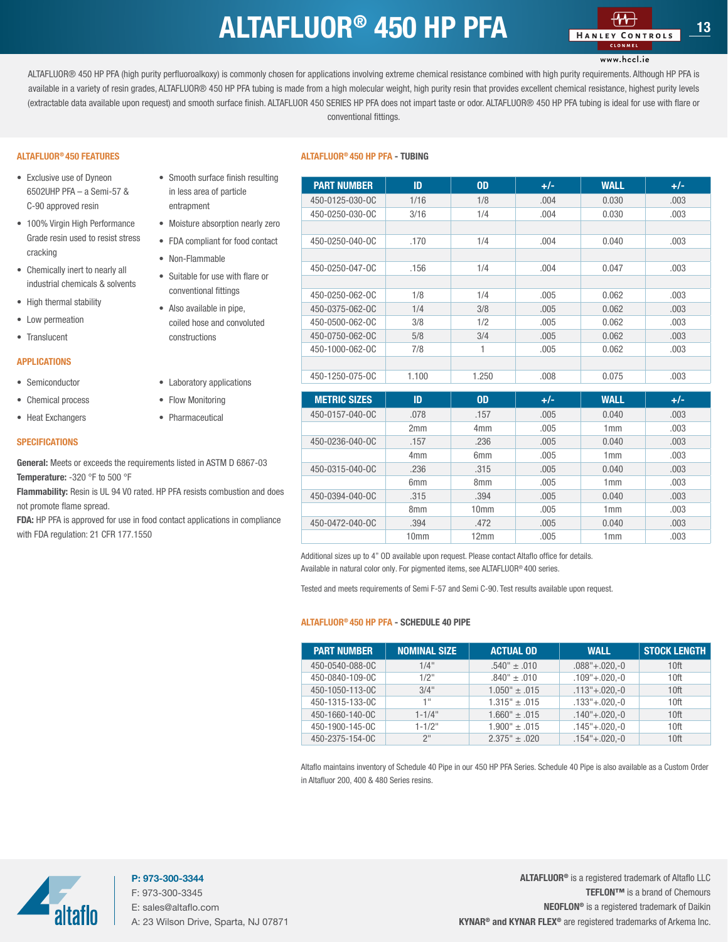### $ALTAFLUOR<sup>®</sup>$  450 HP PFA  $\frac{44}{14}$   $\frac{44}{13}$   $\frac{13}{13}$

#### www.hccl.ie

<span id="page-12-0"></span>ALTAFLUOR® 450 HP PFA (high purity perfluoroalkoxy) is commonly chosen for applications involving extreme chemical resistance combined with high purity requirements. Although HP PFA is available in a variety of resin grades, ALTAFLUOR® 450 HP PFA tubing is made from a high molecular weight, high purity resin that provides excellent chemical resistance, highest purity levels (extractable data available upon request) and smooth surface finish. ALTAFLUOR 450 SERIES HP PFA does not impart taste or odor. ALTAFLUOR® 450 HP PFA tubing is ideal for use with flare or conventional fittings.

#### ALTAFLUOR® 450 FEATURES

- Exclusive use of Dyneon 6502UHP PFA – a Semi-57 & C-90 approved resin
- 100% Virgin High Performance Grade resin used to resist stress cracking
- Chemically inert to nearly all industrial chemicals & solvents
- High thermal stability
- Low permeation
- Translucent

#### APPLICATIONS

- Semiconductor
- Chemical process
- Heat Exchangers

#### **SPECIFICATIONS**

General: Meets or exceeds the requirements listed in ASTM D 6867-03 Temperature: -320 °F to 500 °F

Flammability: Resin is UL 94 V0 rated. HP PFA resists combustion and does not promote flame spread.

• Smooth surface finish resulting in less area of particle entrapment

• Moisture absorption nearly zero • FDA compliant for food contact

• Suitable for use with flare or conventional fittings • Also available in pipe, coiled hose and convoluted

• Non-Flammable

constructions

• Laboratory applications • Flow Monitoring • Pharmaceutical

FDA: HP PFA is approved for use in food contact applications in compliance with FDA regulation: 21 CFR 177.1550

#### ALTAFLUOR® 450 HP PFA - TUBING

| <b>PART NUMBER</b>  | ID              | <b>OD</b>        | $+/-$ | <b>WALL</b> | $+/-$ |
|---------------------|-----------------|------------------|-------|-------------|-------|
| 450-0125-030-OC     | 1/16            | 1/8              | .004  | 0.030       |       |
|                     |                 |                  |       |             | .003  |
| 450-0250-030-0C     | 3/16            | 1/4              | .004  | 0.030       | .003  |
|                     |                 |                  |       |             |       |
| 450-0250-040-0C     | .170            | 1/4              | .004  | 0.040       | .003  |
|                     |                 |                  |       |             |       |
| 450-0250-047-0C     | .156            | 1/4              | .004  | 0.047       | .003  |
|                     |                 |                  |       |             |       |
| 450-0250-062-0C     | 1/8             | 1/4              | .005  | 0.062       | .003  |
| 450-0375-062-0C     | 1/4             | 3/8              | .005  | 0.062       | .003  |
| 450-0500-062-0C     | 3/8             | 1/2              | .005  | 0.062       | .003  |
| 450-0750-062-0C     | 5/8             | 3/4              | .005  | 0.062       | .003  |
| 450-1000-062-0C     | 7/8             | 1                | .005  | 0.062       | .003  |
|                     |                 |                  |       |             |       |
| 450-1250-075-OC     | 1.100           | 1.250            | .008  | 0.075       | .003  |
|                     |                 |                  |       |             |       |
| <b>METRIC SIZES</b> | ID              | 0 <sub>D</sub>   | $+/-$ | <b>WALL</b> | $+/-$ |
| 450-0157-040-0C     | .078            | .157             | .005  | 0.040       | .003  |
|                     | 2mm             | 4 <sub>mm</sub>  | .005  | 1mm         | .003  |
| 450-0236-040-0C     | .157            | .236             | .005  | 0.040       | .003  |
|                     | 4 <sub>mm</sub> | 6 <sub>mm</sub>  | .005  | 1mm         | .003  |
| 450-0315-040-0C     | .236            | .315             | .005  | 0.040       | .003  |
|                     | 6mm             | 8 <sub>mm</sub>  | .005  | 1mm         | .003  |
| 450-0394-040-0C     | .315            | .394             | .005  | 0.040       | .003  |
|                     | 8 <sub>mm</sub> | 10 <sub>mm</sub> | .005  | 1mm         | .003  |
| 450-0472-040-0C     | .394            | .472             | .005  | 0.040       | .003  |

Additional sizes up to 4" OD available upon request. Please contact Altaflo office for details. Available in natural color only. For pigmented items, see ALTAFLUOR® 400 series.

Tested and meets requirements of Semi F-57 and Semi C-90. Test results available upon request.

#### ALTAFLUOR® 450 HP PFA - SCHEDULE 40 PIPE

| <b>PART NUMBER</b> | <b>NOMINAL SIZE</b> | <b>ACTUAL OD</b>                | <b>WALL</b>            | <b>STOCK LENGTH</b> |
|--------------------|---------------------|---------------------------------|------------------------|---------------------|
| 450-0540-088-0C    | 1/4"                | $.540^{\circ} \pm .010^{\circ}$ | $.088" + .020. -0$     | 10 <sup>ft</sup>    |
| 450-0840-109-0C    | $1/2$ "             | $.840^{\circ} \pm .010$         | $.109^{\circ}+.020.-0$ | 10 <sup>ft</sup>    |
| 450-1050-113-0C    | 3/4"                | $1.050" \pm .015$               | $.113" + .020. -0$     | 10 <sup>ft</sup>    |
| 450-1315-133-0C    | 1 !!                | $1.315" \pm .015$               | $.133^{\circ}+.020,-0$ | 10 <sup>ft</sup>    |
| 450-1660-140-0C    | $1 - 1/4$ "         | $1.660" \pm .015$               | $.140^{\circ}+.020,-0$ | 10 <sup>ft</sup>    |
| 450-1900-145-0C    | $1 - 1/2$ "         | $1.900" \pm .015$               | $.145$ "+.020 $, -0$   | 10 <sup>ft</sup>    |
| 450-2375-154-0C    | 2 <sup>11</sup>     | $2.375" \pm .020$               | $.154^{\circ}+.020.-0$ | 10 <sup>ft</sup>    |

10mm | 12mm | .005 | 1mm | .003

Altaflo maintains inventory of Schedule 40 Pipe in our 450 HP PFA Series. Schedule 40 Pipe is also available as a Custom Order in Altafluor 200, 400 & 480 Series resins.



P: 973-300-3344 F: 973-300-3345 E: sales@altaflo.com A: 23 Wilson Drive, Sparta, NJ 07871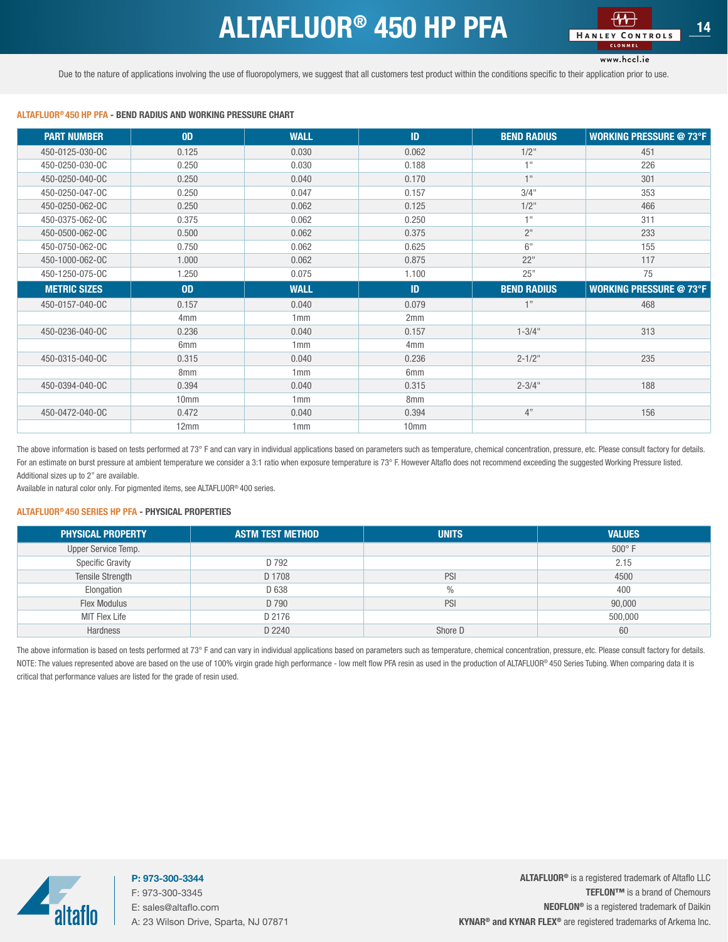### $ALTAFLUOR<sup>®</sup>$  450 HP PFA  $\frac{44+}{144 \times 10^{13} \text{ CONTROLS}}$  14

www.hccl.ie

<span id="page-13-0"></span>Due to the nature of applications involving the use of fluoropolymers, we suggest that all customers test product within the conditions specific to their application prior to use.

#### ALTAFLUOR® 450 HP PFA - BEND RADIUS AND WORKING PRESSURE CHART

| <b>PART NUMBER</b>  | 0 <sub>D</sub>   | <b>WALL</b> | ID              | <b>BEND RADIUS</b> | <b>WORKING PRESSURE @ 73°F</b> |
|---------------------|------------------|-------------|-----------------|--------------------|--------------------------------|
| 450-0125-030-0C     | 0.125            | 0.030       | 0.062           | $1/2$ "            | 451                            |
| 450-0250-030-OC     | 0.250            | 0.030       | 0.188           | $+11$              | 226                            |
| 450-0250-040-0C     | 0.250            | 0.040       | 0.170           | $+11$              | 301                            |
| 450-0250-047-0C     | 0.250            | 0.047       | 0.157           | 3/4"               | 353                            |
| 450-0250-062-0C     | 0.250            | 0.062       | 0.125           | $1/2$ "            | 466                            |
| 450-0375-062-0C     | 0.375            | 0.062       | 0.250           | 4H                 | 311                            |
| 450-0500-062-0C     | 0.500            | 0.062       | 0.375           | 2 <sup>11</sup>    | 233                            |
| 450-0750-062-0C     | 0.750            | 0.062       | 0.625           | 6"                 | 155                            |
| 450-1000-062-0C     | 1.000            | 0.062       | 0.875           | 22"                | 117                            |
| 450-1250-075-OC     | 1.250            | 0.075       | 1.100           | 25"                | 75                             |
| <b>METRIC SIZES</b> | 0 <sub>D</sub>   | <b>WALL</b> | ID              | <b>BEND RADIUS</b> | <b>WORKING PRESSURE @ 73°F</b> |
| 450-0157-040-OC     | 0.157            | 0.040       | 0.079           | 1"                 | 468                            |
|                     | 4 <sub>mm</sub>  | 1mm         | 2mm             |                    |                                |
| 450-0236-040-0C     | 0.236            | 0.040       | 0.157           | $1 - 3/4$ "        | 313                            |
|                     | 6 <sub>mm</sub>  | 1mm         | 4 <sub>mm</sub> |                    |                                |
| 450-0315-040-OC     | 0.315            | 0.040       | 0.236           | $2 - 1/2$ "        | 235                            |
|                     | 8 <sub>mm</sub>  | 1mm         | 6 <sub>mm</sub> |                    |                                |
| 450-0394-040-0C     | 0.394            | 0.040       | 0.315           | $2 - 3/4"$         | 188                            |
|                     | 10 <sub>mm</sub> | 1mm         | 8 <sub>mm</sub> |                    |                                |
| 450-0472-040-0C     | 0.472            | 0.040       | 0.394           | 4"                 | 156                            |
|                     |                  |             |                 |                    |                                |

The above information is based on tests performed at 73° F and can vary in individual applications based on parameters such as temperature, chemical concentration, pressure, etc. Please consult factory for details. For an estimate on burst pressure at ambient temperature we consider a 3:1 ratio when exposure temperature is 73° F. However Altaflo does not recommend exceeding the suggested Working Pressure listed. Additional sizes up to 2" are available.

Available in natural color only. For pigmented items, see ALTAFLUOR® 400 series.

#### ALTAFLUOR® 450 SERIES HP PFA - PHYSICAL PROPERTIES

| <b>PHYSICAL PROPERTY</b> | <b>ASTM TEST METHOD</b> | <b>UNITS</b> | <b>VALUES</b> |
|--------------------------|-------------------------|--------------|---------------|
| Upper Service Temp.      |                         |              | $500^\circ$ F |
| <b>Specific Gravity</b>  | D 792                   |              | 2.15          |
| <b>Tensile Strength</b>  | D 1708                  | PSI          | 4500          |
| Elongation               | D 638                   | $\%$         | 400           |
| <b>Flex Modulus</b>      | D 790                   | PSI          | 90,000        |
| MIT Flex Life            | D 2176                  |              | 500,000       |
| Hardness                 | D 2240                  | Shore D      | 60            |

The above information is based on tests performed at 73° F and can vary in individual applications based on parameters such as temperature, chemical concentration, pressure, etc. Please consult factory for details. NOTE: The values represented above are based on the use of 100% virgin grade high performance - low melt flow PFA resin as used in the production of ALTAFLUOR® 450 Series Tubing. When comparing data it is critical that performance values are listed for the grade of resin used.



P: 973-300-3344 F: 973-300-3345 E: sales@altaflo.com A: 23 Wilson Drive, Sparta, NJ 07871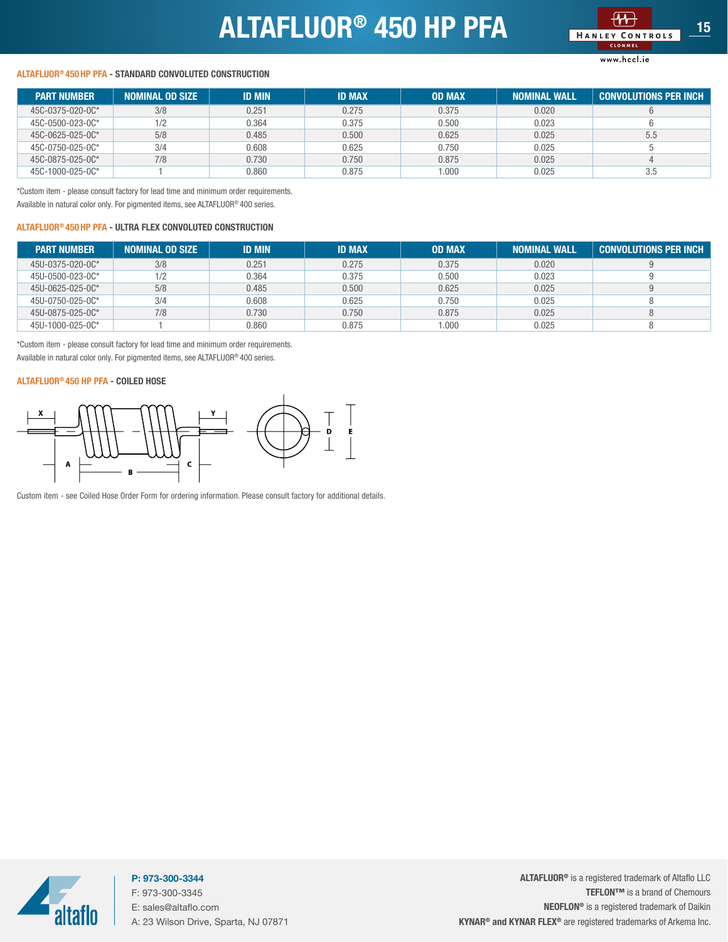## ALTAFLUOR<sup>®</sup> 450 HP PFA



#### www.hccl.ie

#### <span id="page-14-0"></span>ALTAFLUOR® 450 HP PFA - STANDARD CONVOLUTED CONSTRUCTION

| <b>PART NUMBER</b> | <b>NOMINAL OD SIZE</b> | <b>ID MIN</b> | <b>ID MAX</b> | <b>OD MAX</b> | <b>NOMINAL WALL</b> | CONVOLUTIONS PER INCH |
|--------------------|------------------------|---------------|---------------|---------------|---------------------|-----------------------|
| 45C-0375-020-0C*   | 3/8                    | 0.251         | 0.275         | 0.375         | 0.020               |                       |
| 45C-0500-023-0C*   | 1/2                    | 0.364         | 0.375         | 0.500         | 0.023               |                       |
| 45C-0625-025-0C*   | 5/8                    | 0.485         | 0.500         | 0.625         | 0.025               | 5.5                   |
| 45C-0750-025-0C*   | 3/4                    | 0.608         | 0.625         | 0.750         | 0.025               |                       |
| 45C-0875-025-0C*   | 7/8                    | 0.730         | 0.750         | 0.875         | 0.025               |                       |
| 45C-1000-025-0C*   |                        | 0.860         | 0.875         | 1.000         | 0.025               | 3.5                   |

\*Custom item - please consult factory for lead time and minimum order requirements. Available in natural color only. For pigmented items, see ALTAFLUOR® 400 series.

#### ALTAFLUOR® 450 HP PFA - ULTRA FLEX CONVOLUTED CONSTRUCTION

| <b>PART NUMBER</b> | <b>NOMINAL OD SIZE</b> | <b>ID MIN</b> | <b>ID MAX</b> | <b>OD MAX</b> | <b>NOMINAL WALL</b> | <b>CONVOLUTIONS PER INCH</b> |
|--------------------|------------------------|---------------|---------------|---------------|---------------------|------------------------------|
| 45U-0375-020-0C*   | 3/8                    | 0.251         | 0.275         | 0.375         | 0.020               |                              |
| 45U-0500-023-0C*   | 1/2                    | 0.364         | 0.375         | 0.500         | 0.023               |                              |
| 45U-0625-025-0C*   | 5/8                    | 0.485         | 0.500         | 0.625         | 0.025               |                              |
| 45U-0750-025-0C*   | 3/4                    | 0.608         | 0.625         | 0.750         | 0.025               |                              |
| 45U-0875-025-0C*   | 7/8                    | 0.730         | 0.750         | 0.875         | 0.025               |                              |
| 45U-1000-025-0C*   |                        | 0.860         | 0.875         | .000          | 0.025               |                              |

\*Custom item - please consult factory for lead time and minimum order requirements. Available in natural color only. For pigmented items, see ALTAFLUOR® 400 series.

#### ALTAFLUOR® 450 HP PFA - COILED HOSE



Custom item - see Coiled Hose Order Form for ordering information. Please consult factory for additional details.



P: 973-300-3344 F: 973-300-3345 E: sales@altaflo.com A: 23 Wilson Drive, Sparta, NJ 07871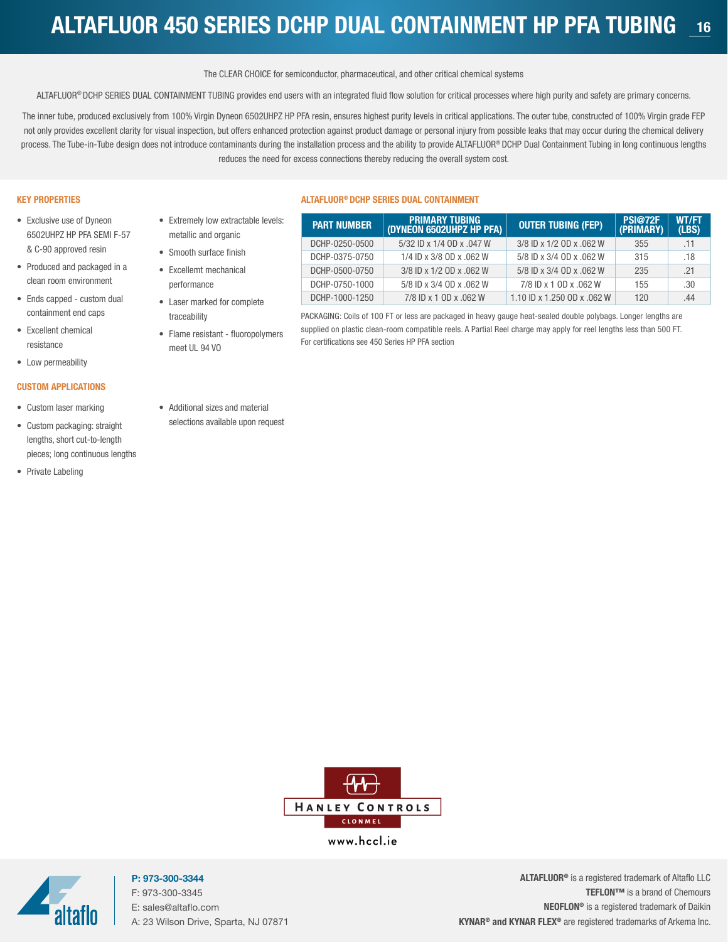### <span id="page-15-0"></span>ALTAFLUOR 450 SERIES DCHP DUAL CONTAINMENT HP PFA TUBING <sup>16</sup>

#### The CLEAR CHOICE for semiconductor, pharmaceutical, and other critical chemical systems

ALTAFLUOR® DCHP SERIES DUAL CONTAINMENT TUBING provides end users with an integrated fluid flow solution for critical processes where high purity and safety are primary concerns.

The inner tube, produced exclusively from 100% Virgin Dyneon 6502UHPZ HP PFA resin, ensures highest purity levels in critical applications. The outer tube, constructed of 100% Virgin grade FEP not only provides excellent clarity for visual inspection, but offers enhanced protection against product damage or personal injury from possible leaks that may occur during the chemical delivery process. The Tube-in-Tube design does not introduce contaminants during the installation process and the ability to provide ALTAFLUOR® DCHP Dual Containment Tubing in long continuous lengths reduces the need for excess connections thereby reducing the overall system cost.

#### KEY PROPERTIES

- Exclusive use of Dyneon 6502UHPZ HP PFA SEMI F-57 & C-90 approved resin
- Produced and packaged in a clean room environment
- Ends capped custom dual containment end caps
- Excellent chemical resistance
- Low permeability

#### CUSTOM APPLICATIONS

- Custom laser marking
- Custom packaging: straight lengths, short cut-to-length pieces; long continuous lengths
- Private Labeling

#### • Extremely low extractable levels: metallic and organic

- Smooth surface finish
- Excellemt mechanical

performance

- Laser marked for complete traceability
- Flame resistant fluoropolymers meet UL 94 VO

#### ALTAFLUOR® DCHP SERIES DUAL CONTAINMENT

| <b>PART NUMBER</b> | <b>PRIMARY TUBING</b><br>(DYNEON 6502UHPZ HP PFA) | <b>OUTER TUBING (FEP)</b>   | <b>PSI@72F</b><br>(PRIMARY) | <b>WT/FT</b><br>(LBS) |
|--------------------|---------------------------------------------------|-----------------------------|-----------------------------|-----------------------|
| DCHP-0250-0500     | 5/32 ID x 1/4 OD x .047 W                         | 3/8 ID x 1/2 OD x .062 W    | 355                         | .11                   |
| DCHP-0375-0750     | 1/4 ID x 3/8 OD x .062 W                          | 5/8 ID x 3/4 OD x .062 W    | 315                         | .18                   |
| DCHP-0500-0750     | 3/8 ID x 1/2 OD x .062 W                          | 5/8 ID x 3/4 OD x .062 W    | 235                         | .21                   |
| DCHP-0750-1000     | 5/8 ID x 3/4 OD x .062 W                          | 7/8 ID x 1 OD x .062 W      | 155                         | .30                   |
| DCHP-1000-1250     | 7/8 ID x 1 OD x .062 W                            | 1.10 ID x 1.250 OD x .062 W | 120                         | .44                   |

PACKAGING: Coils of 100 FT or less are packaged in heavy gauge heat-sealed double polybags. Longer lengths are supplied on plastic clean-room compatible reels. A Partial Reel charge may apply for reel lengths less than 500 FT. For certifications see 450 Series HP PFA section

• Additional sizes and material selections available upon request



www.hccl.ie



P: 973-300-3344 F: 973-300-3345 E: sales@altaflo.com A: 23 Wilson Drive, Sparta, NJ 07871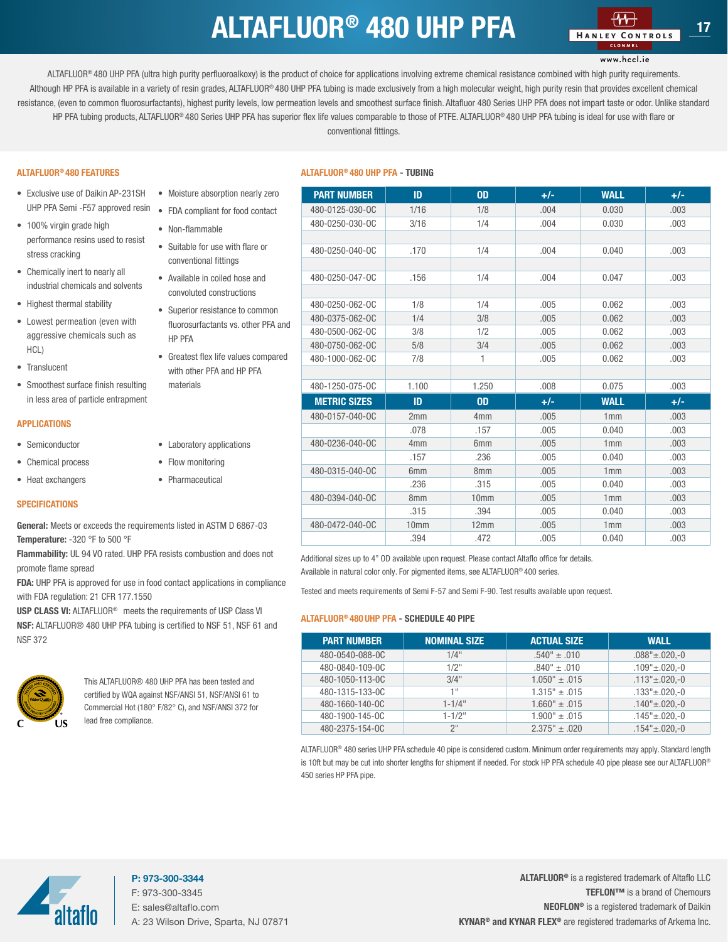### $ALTAFLUOR<sup>®</sup>$  480 UHP PFA

#### www.hccl.ie

<span id="page-16-0"></span>ALTAFLUOR<sup>®</sup> 480 UHP PFA (ultra high purity perfluoroalkoxy) is the product of choice for applications involving extreme chemical resistance combined with high purity requirements. Although HP PFA is available in a variety of resin grades, ALTAFLUOR® 480 UHP PFA tubing is made exclusively from a high molecular weight, high purity resin that provides excellent chemical resistance, (even to common fluorosurfactants), highest purity levels, low permeation levels and smoothest surface finish. Altafluor 480 Series UHP PFA does not impart taste or odor. Unlike standard HP PFA tubing products, ALTAFLUOR® 480 Series UHP PFA has superior flex life values comparable to those of PTFE. ALTAFLUOR® 480 UHP PFA tubing is ideal for use with flare or conventional fittings.

#### ALTAFLUOR® 480 FEATURES

• Exclusive use of Daikin AP-231SH UHP PFA Semi -F57 approved resin

• Moisture absorption nearly zero • FDA compliant for food contact

• Suitable for use with flare or conventional fittings • Available in coiled hose and convoluted constructions • Superior resistance to common

• Greatest flex life values compared with other PFA and HP PFA

• Non-flammable

• Laboratory applications • Flow monitoring • Pharmaceutical

- 100% virgin grade high performance resins used to resist stress cracking
- Chemically inert to nearly all industrial chemicals and solvents
- Highest thermal stability
- Lowest permeation (even with aggressive chemicals such as HCL)
- Translucent
- Smoothest surface finish resulting in less area of particle entrapment

#### APPLICATIONS

- Semiconductor
- Chemical process
- Heat exchangers

#### **SPECIFICATIONS**

General: Meets or exceeds the requirements listed in ASTM D 6867-03 Temperature: -320 °F to 500 °F

Flammability: UL 94 VO rated. UHP PFA resists combustion and does not promote flame spread

FDA: UHP PFA is approved for use in food contact applications in compliance with FDA regulation: 21 CFR 177.1550

USP CLASS VI: ALTAFLUOR<sup>®</sup> meets the requirements of USP Class VI NSF: ALTAFLUOR® 480 UHP PFA tubing is certified to NSF 51, NSF 61 and NSF 372



This ALTAFLUOR® 480 UHP PFA has been tested and certified by WQA against NSF/ANSI 51, NSF/ANSI 61 to Commercial Hot (180° F/82° C), and NSF/ANSI 372 for lead free compliance.

#### ALTAFLUOR® 480 UHP PFA - TUBING

| Moisture absorption nearly zero                         | <b>PART NUMBER</b>  | ID               | <b>OD</b>        | $+/-$ | <b>WALL</b> | $+/-$ |
|---------------------------------------------------------|---------------------|------------------|------------------|-------|-------------|-------|
| FDA compliant for food contact                          | 480-0125-030-OC     | 1/16             | 1/8              | .004  | 0.030       | .003  |
| Non-flammable                                           | 480-0250-030-OC     | 3/16             | 1/4              | .004  | 0.030       | .003  |
| Suitable for use with flare or<br>conventional fittings | 480-0250-040-0C     | .170             | 1/4              | .004  | 0.040       | .003  |
| Available in coiled hose and                            | 480-0250-047-0C     | .156             | 1/4              | .004  | 0.047       | .003  |
| convoluted constructions                                |                     |                  |                  |       |             |       |
| Superior resistance to common                           | 480-0250-062-OC     | 1/8              | 1/4              | .005  | 0.062       | .003  |
| fluorosurfactants vs. other PFA and                     | 480-0375-062-0C     | 1/4              | 3/8              | .005  | 0.062       | .003  |
| <b>HP PFA</b>                                           | 480-0500-062-0C     | 3/8              | 1/2              | .005  | 0.062       | .003  |
|                                                         | 480-0750-062-OC     | 5/8              | 3/4              | .005  | 0.062       | .003  |
| Greatest flex life values compared                      | 480-1000-062-OC     | 7/8              | 1                | .005  | 0.062       | .003  |
| with other PFA and HP PFA                               |                     |                  |                  |       |             |       |
| materials                                               | 480-1250-075-OC     | 1.100            | 1.250            | .008  | 0.075       | .003  |
|                                                         | <b>METRIC SIZES</b> | ID               | <b>OD</b>        | $+/-$ | <b>WALL</b> | $+/-$ |
|                                                         | 480-0157-040-0C     | 2mm              | 4 <sub>mm</sub>  | .005  | 1mm         | .003  |
|                                                         |                     | .078             | .157             | .005  | 0.040       | .003  |
| Laboratory applications                                 | 480-0236-040-0C     | 4 <sub>mm</sub>  | 6 <sub>mm</sub>  | .005  | 1mm         | .003  |
| Flow monitoring                                         |                     | .157             | .236             | .005  | 0.040       | .003  |
|                                                         | 480-0315-040-0C     | 6 <sub>mm</sub>  | 8 <sub>mm</sub>  | .005  | 1mm         | .003  |
| Pharmaceutical                                          |                     | .236             | .315             | .005  | 0.040       | .003  |
|                                                         | 480-0394-040-0C     | 8 <sub>mm</sub>  | 10 <sub>mm</sub> | .005  | 1mm         | .003  |
|                                                         |                     | .315             | .394             | .005  | 0.040       | .003  |
| ts listed in ASTM D 6867-03                             | 480-0472-040-0C     | 10 <sub>mm</sub> | 12mm             | .005  | 1mm         | .003  |
|                                                         |                     | .394             | .472             | .005  | 0.040       | .003  |

Additional sizes up to 4" OD available upon request. Please contact Altaflo office for details. Available in natural color only. For pigmented items, see ALTAFLUOR® 400 series.

Tested and meets requirements of Semi F-57 and Semi F-90. Test results available upon request.

#### ALTAFLUOR® 480 UHP PFA - SCHEDULE 40 PIPE

| <b>PART NUMBER</b> | <b>NOMINAL SIZE</b> | <b>ACTUAL SIZE</b>              | <b>WALL</b>             |
|--------------------|---------------------|---------------------------------|-------------------------|
| 480-0540-088-0C    | $1/4$ "             | $.540^{\circ} \pm .010^{\circ}$ | $.088" \pm .020$ .-0    |
| 480-0840-109-0C    | $1/2$ "             | $.840^{\circ} \pm .010^{\circ}$ | $.109" \pm .020$ .-0    |
| 480-1050-113-0C    | $3/4$ "             | $1.050" \pm .015$               | $.113" \pm .020$ ,-0    |
| 480-1315-133-0C    | 1"                  | $1.315" \pm .015$               | $.133" \pm .020. -0$    |
| 480-1660-140-0C    | $1 - 1/4$ "         | $1.660" \pm .015$               | $.140" \pm .020$ ,-0    |
| 480-1900-145-0C    | $1 - 1/2$ "         | $1.900" \pm .015$               | $.145" \pm .020$ ,-0    |
| 480-2375-154-0C    | 2 <sup>11</sup>     | $2.375" \pm .020$               | $.154$ " $\pm .020$ .-0 |

ALTAFLUOR® 480 series UHP PFA schedule 40 pipe is considered custom. Minimum order requirements may apply. Standard length is 10ft but may be cut into shorter lengths for shipment if needed. For stock HP PFA schedule 40 pipe please see our ALTAFLUOR® 450 series HP PFA pipe.



#### P: 973-300-3344 F: 973-300-3345 E: sales@altaflo.com A: 23 Wilson Drive, Sparta, NJ 07871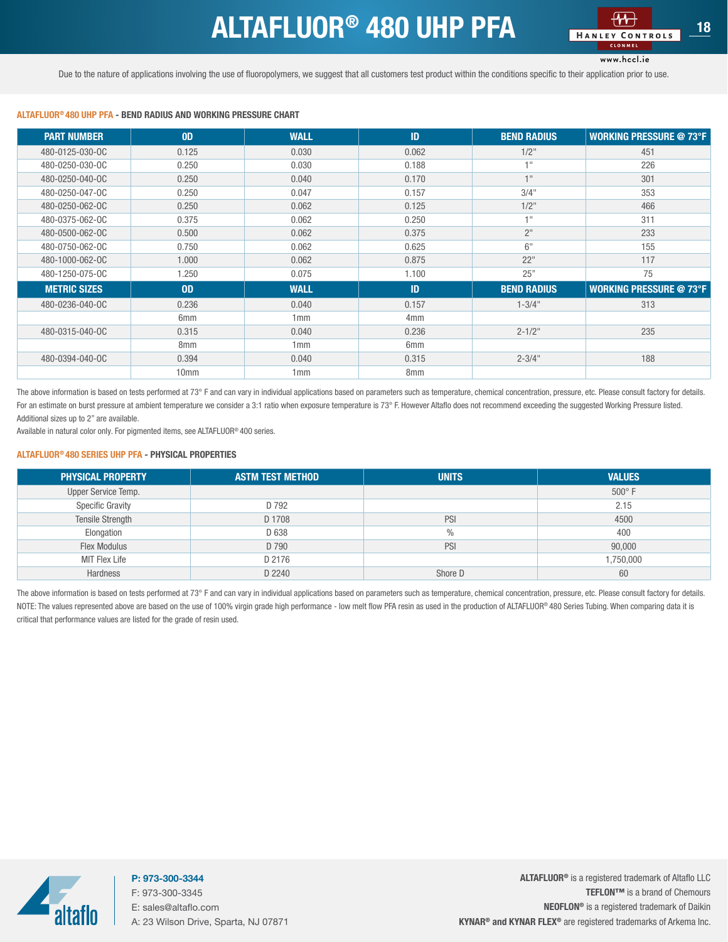### ALTAFLUOR<sup>®</sup> 480 UHP PFA **18**

#### www.hccl.ie

<span id="page-17-0"></span>Due to the nature of applications involving the use of fluoropolymers, we suggest that all customers test product within the conditions specific to their application prior to use.

#### ALTAFLUOR® 480 UHP PFA - BEND RADIUS AND WORKING PRESSURE CHART

| <b>PART NUMBER</b>  | <b>OD</b>        | <b>WALL</b> | <b>ID</b>       | <b>BEND RADIUS</b> | <b>WORKING PRESSURE @ 73°F</b> |
|---------------------|------------------|-------------|-----------------|--------------------|--------------------------------|
| 480-0125-030-OC     | 0.125            | 0.030       | 0.062           | $1/2$ "            | 451                            |
| 480-0250-030-0C     | 0.250            | 0.030       | 0.188           | $+11$              | 226                            |
| 480-0250-040-0C     | 0.250            | 0.040       | 0.170           | 1 <sup>H</sup>     | 301                            |
| 480-0250-047-0C     | 0.250            | 0.047       | 0.157           | 3/4"               | 353                            |
| 480-0250-062-0C     | 0.250            | 0.062       | 0.125           | $1/2$ "            | 466                            |
| 480-0375-062-0C     | 0.375            | 0.062       | 0.250           | $+11$              | 311                            |
| 480-0500-062-0C     | 0.500            | 0.062       | 0.375           | 2 <sup>11</sup>    | 233                            |
| 480-0750-062-0C     | 0.750            | 0.062       | 0.625           | 6"                 | 155                            |
| 480-1000-062-0C     | 1.000            | 0.062       | 0.875           | 22"                | 117                            |
| 480-1250-075-0C     | 1.250            | 0.075       | 1.100           | 25"                | 75                             |
| <b>METRIC SIZES</b> | 0 <sub>D</sub>   | <b>WALL</b> | ID              | <b>BEND RADIUS</b> | <b>WORKING PRESSURE @ 73°F</b> |
| 480-0236-040-0C     | 0.236            | 0.040       | 0.157           | $1 - 3/4"$         | 313                            |
|                     | 6 <sub>mm</sub>  | 1mm         | 4 <sub>mm</sub> |                    |                                |
| 480-0315-040-0C     | 0.315            | 0.040       | 0.236           | $2 - 1/2$ "        | 235                            |
|                     | 8 <sub>mm</sub>  | 1mm         | 6 <sub>mm</sub> |                    |                                |
| 480-0394-040-0C     | 0.394            | 0.040       | 0.315           | $2 - 3/4"$         | 188                            |
|                     | 10 <sub>mm</sub> | 1mm         | 8 <sub>mm</sub> |                    |                                |

The above information is based on tests performed at 73° F and can vary in individual applications based on parameters such as temperature, chemical concentration, pressure, etc. Please consult factory for details. For an estimate on burst pressure at ambient temperature we consider a 3:1 ratio when exposure temperature is 73° F. However Altaflo does not recommend exceeding the suggested Working Pressure listed. Additional sizes up to 2" are available.

Available in natural color only. For pigmented items, see ALTAFLUOR® 400 series.

#### ALTAFLUOR® 480 SERIES UHP PFA - PHYSICAL PROPERTIES

| <b>PHYSICAL PROPERTY</b> | <b>ASTM TEST METHOD</b> | <b>UNITS</b>  | <b>VALUES</b> |
|--------------------------|-------------------------|---------------|---------------|
| Upper Service Temp.      |                         |               | $500^\circ$ F |
| <b>Specific Gravity</b>  | D 792                   |               | 2.15          |
| Tensile Strength         | D 1708                  | PSI           | 4500          |
| Elongation               | D 638                   | $\frac{0}{0}$ | 400           |
| <b>Flex Modulus</b>      | D 790                   | PSI           | 90,000        |
| MIT Flex Life            | D 2176                  |               | 1,750,000     |
| Hardness                 | D 2240                  | Shore D       | 60            |

The above information is based on tests performed at 73° F and can vary in individual applications based on parameters such as temperature, chemical concentration, pressure, etc. Please consult factory for details. NOTE: The values represented above are based on the use of 100% virgin grade high performance - low melt flow PFA resin as used in the production of ALTAFLUOR® 480 Series Tubing. When comparing data it is critical that performance values are listed for the grade of resin used.



P: 973-300-3344 F: 973-300-3345 E: sales@altaflo.com A: 23 Wilson Drive, Sparta, NJ 07871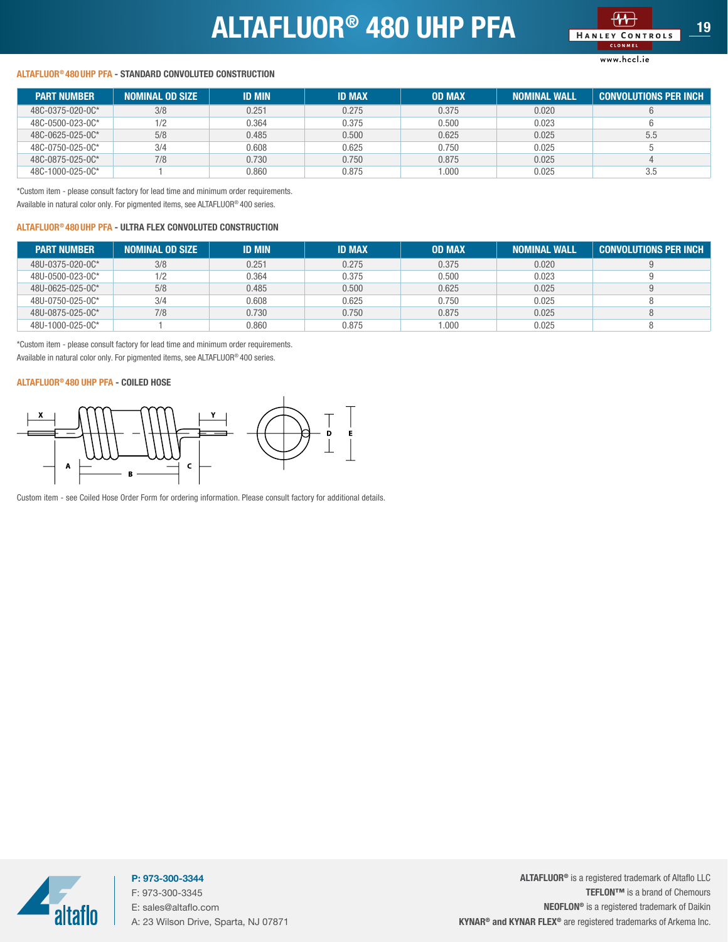## ALTAFLUOR<sup>®</sup> 480 UHP PFA



#### www.hccl.ie

#### <span id="page-18-0"></span>ALTAFLUOR® 480 UHP PFA - STANDARD CONVOLUTED CONSTRUCTION

| <b>PART NUMBER</b> | <b>NOMINAL OD SIZE</b> | <b>ID MIN</b> | <b>ID MAX</b> | <b>OD MAX</b> | <b>NOMINAL WALL</b> | <b>CONVOLUTIONS PER INCH</b> |
|--------------------|------------------------|---------------|---------------|---------------|---------------------|------------------------------|
| 48C-0375-020-0C*   | 3/8                    | 0.251         | 0.275         | 0.375         | 0.020               |                              |
| 48C-0500-023-0C*   | 1/2                    | 0.364         | 0.375         | 0.500         | 0.023               |                              |
| 48C-0625-025-0C*   | 5/8                    | 0.485         | 0.500         | 0.625         | 0.025               | 5.5                          |
| 48C-0750-025-0C*   | 3/4                    | 0.608         | 0.625         | 0.750         | 0.025               |                              |
| 48C-0875-025-0C*   | 7/8                    | 0.730         | 0.750         | 0.875         | 0.025               |                              |
| 48C-1000-025-0C*   |                        | 0.860         | 0.875         | 000.1         | 0.025               | 3.5                          |

\*Custom item - please consult factory for lead time and minimum order requirements. Available in natural color only. For pigmented items, see ALTAFLUOR® 400 series.

#### ALTAFLUOR® 480 UHP PFA - ULTRA FLEX CONVOLUTED CONSTRUCTION

| <b>PART NUMBER</b> | <b>NOMINAL OD SIZE</b> | <b>ID MIN</b> | <b>ID MAX</b> | <b>OD MAX</b> | <b>NOMINAL WALL</b> | <b>CONVOLUTIONS PER INCH</b> |
|--------------------|------------------------|---------------|---------------|---------------|---------------------|------------------------------|
| 48U-0375-020-0C*   | 3/8                    | 0.251         | 0.275         | 0.375         | 0.020               |                              |
| 48U-0500-023-0C*   | 1/2                    | 0.364         | 0.375         | 0.500         | 0.023               |                              |
| 48U-0625-025-0C*   | 5/8                    | 0.485         | 0.500         | 0.625         | 0.025               |                              |
| 48U-0750-025-0C*   | 3/4                    | 0.608         | 0.625         | 0.750         | 0.025               |                              |
| 48U-0875-025-0C*   | 7/8                    | 0.730         | 0.750         | 0.875         | 0.025               |                              |
| 48U-1000-025-0C*   |                        | 0.860         | 0.875         | .000          | 0.025               |                              |

\*Custom item - please consult factory for lead time and minimum order requirements. Available in natural color only. For pigmented items, see ALTAFLUOR® 400 series.

#### ALTAFLUOR® 480 UHP PFA - COILED HOSE



Custom item - see Coiled Hose Order Form for ordering information. Please consult factory for additional details.



P: 973-300-3344 F: 973-300-3345 E: sales@altaflo.com A: 23 Wilson Drive, Sparta, NJ 07871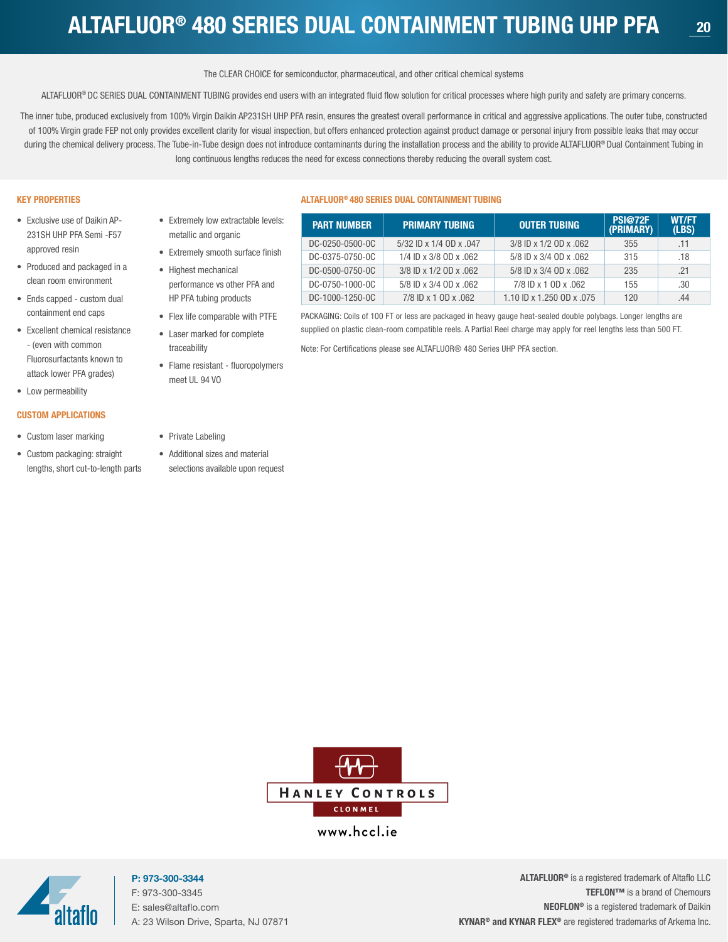The CLEAR CHOICE for semiconductor, pharmaceutical, and other critical chemical systems

<span id="page-19-0"></span>ALTAFLUOR® DC SERIES DUAL CONTAINMENT TUBING provides end users with an integrated fluid flow solution for critical processes where high purity and safety are primary concerns.

The inner tube, produced exclusively from 100% Virgin Daikin AP231SH UHP PFA resin, ensures the greatest overall performance in critical and aggressive applications. The outer tube, constructed of 100% Virgin grade FEP not only provides excellent clarity for visual inspection, but offers enhanced protection against product damage or personal injury from possible leaks that may occur during the chemical delivery process. The Tube-in-Tube design does not introduce contaminants during the installation process and the ability to provide ALTAFLUOR® Dual Containment Tubing in long continuous lengths reduces the need for excess connections thereby reducing the overall system cost.

#### KEY PROPERTIES

- Exclusive use of Daikin AP-231SH UHP PFA Semi -F57 approved resin
- Produced and packaged in a clean room environment
- Ends capped custom dual containment end caps
- Excellent chemical resistance - (even with common Fluorosurfactants known to attack lower PFA grades)
- Low permeability

#### CUSTOM APPLICATIONS

- Custom laser marking
- Custom packaging: straight lengths, short cut-to-length parts
- Extremely low extractable levels: metallic and organic
- Extremely smooth surface finish
- Highest mechanical performance vs other PFA and HP PFA tubing products
- Flex life comparable with PTFE • Laser marked for complete
- traceability • Flame resistant - fluoropolymers meet UL 94 VO

#### ALTAFLUOR® 480 SERIES DUAL CONTAINMENT TUBING

| <b>PART NUMBER</b> | <b>PRIMARY TUBING</b>   | <b>OUTER TUBING</b>       | <b>PSI@72F</b><br>(PRIMARY) | <b>WT/FT</b><br>(LBS) |
|--------------------|-------------------------|---------------------------|-----------------------------|-----------------------|
| DC-0250-0500-0C    | 5/32 ID x 1/4 OD x .047 | 3/8 ID x 1/2 OD x .062    | 355                         | .11                   |
| DC-0375-0750-0C    | 1/4 ID x 3/8 OD x .062  | 5/8 ID x 3/4 OD x .062    | 315                         | .18                   |
| DC-0500-0750-0C    | 3/8 ID x 1/2 OD x .062  | 5/8 ID x 3/4 OD x .062    | 235                         | .21                   |
| DC-0750-1000-0C    | 5/8 ID x 3/4 OD x .062  | 7/8 ID x 1 0D x .062      | 155                         | .30                   |
| DC-1000-1250-0C    | 7/8 ID x 1 0D x .062    | 1.10 ID x 1.250 OD x .075 | 120                         | .44                   |

PACKAGING: Coils of 100 FT or less are packaged in heavy gauge heat-sealed double polybags. Longer lengths are supplied on plastic clean-room compatible reels. A Partial Reel charge may apply for reel lengths less than 500 FT.

Note: For Certifications please see ALTAFLUOR® 480 Series UHP PFA section.

- Private Labeling
- Additional sizes and material selections available upon request



www.hccl.ie



P: 973-300-3344 F: 973-300-3345 E: sales@altaflo.com A: 23 Wilson Drive, Sparta, NJ 07871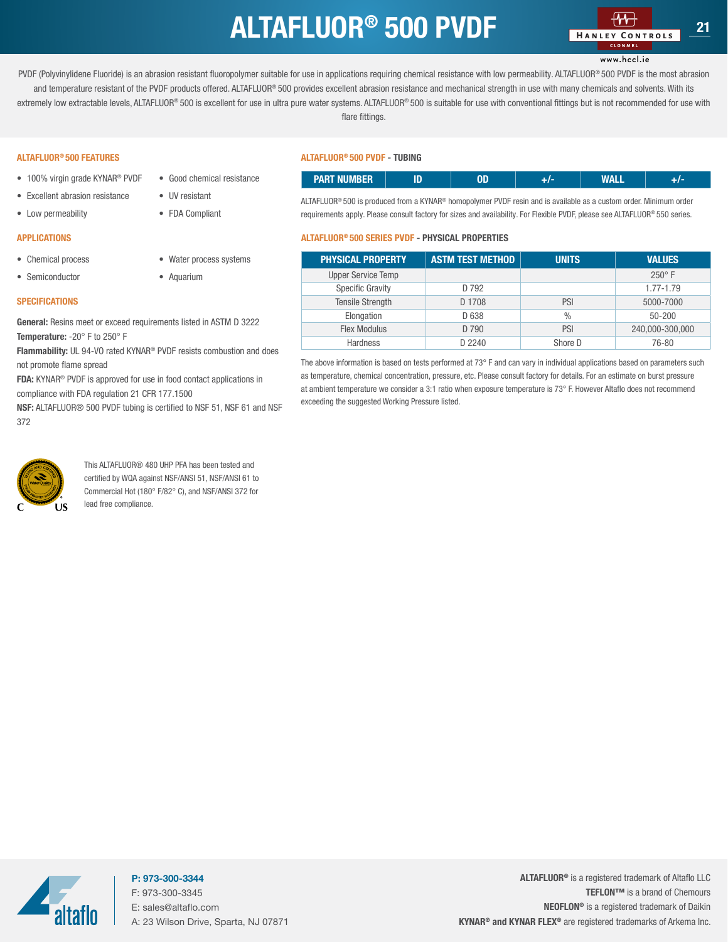### ALTAFLUOR<sup>®</sup> 500 PVDF

#### www.hccl.ie

<span id="page-20-0"></span>PVDF (Polyvinylidene Fluoride) is an abrasion resistant fluoropolymer suitable for use in applications requiring chemical resistance with low permeability. ALTAFLUOR® 500 PVDF is the most abrasion and temperature resistant of the PVDF products offered. ALTAFLUOR® 500 provides excellent abrasion resistance and mechanical strength in use with many chemicals and solvents. With its extremely low extractable levels, ALTAFLUOR® 500 is excellent for use in ultra pure water systems. ALTAFLUOR® 500 is suitable for use with conventional fittings but is not recommended for use with flare fittings.

#### ALTAFLUOR® 500 FEATURES

- 100% virgin grade KYNAR<sup>®</sup> PVDF
- Excellent abrasion resistance • UV resistant

• Good chemical resistance

• Water process systems

• FDA Compliant

• Aquarium

• Low permeability

#### APPLICATIONS

- Chemical process
- Semiconductor

#### **SPECIFICATIONS**

General: Resins meet or exceed requirements listed in ASTM D 3222 Temperature: -20° F to 250° F

Flammability: UL 94-VO rated KYNAR® PVDF resists combustion and does not promote flame spread

FDA: KYNAR® PVDF is approved for use in food contact applications in compliance with FDA regulation 21 CFR 177.1500

NSF: ALTAFLUOR® 500 PVDF tubing is certified to NSF 51, NSF 61 and NSF 372



This ALTAFLUOR® 480 UHP PFA has been tested and certified by WQA against NSF/ANSI 51, NSF/ANSI 61 to Commercial Hot (180° F/82° C), and NSF/ANSI 372 for lead free compliance.

#### ALTAFLUOR® 500 PVDF - TUBING

| ----------<br><u>атан кошоми, </u> |  | .<br>. |  |
|------------------------------------|--|--------|--|

ALTAFLUOR® 500 is produced from a KYNAR® homopolymer PVDF resin and is available as a custom order. Minimum order requirements apply. Please consult factory for sizes and availability. For Flexible PVDF, please see ALTAFLUOR® 550 series.

#### ALTAFLUOR® 500 SERIES PVDF - PHYSICAL PROPERTIES

| <b>PHYSICAL PROPERTY</b>  | <b>ASTM TEST METHOD</b> | <b>UNITS</b> | <b>VALUES</b>   |
|---------------------------|-------------------------|--------------|-----------------|
| <b>Upper Service Temp</b> |                         |              | $250^\circ$ F   |
| Specific Gravity          | D 792                   |              | 1.77-1.79       |
| <b>Tensile Strength</b>   | D 1708                  | PSI          | 5000-7000       |
| Elongation                | D 638                   | $\%$         | $50 - 200$      |
| <b>Flex Modulus</b>       | D 790                   | PSI          | 240,000-300,000 |
| Hardness                  | D 2240                  | Shore D      | 76-80           |

The above information is based on tests performed at 73° F and can vary in individual applications based on parameters such as temperature, chemical concentration, pressure, etc. Please consult factory for details. For an estimate on burst pressure at ambient temperature we consider a 3:1 ratio when exposure temperature is 73° F. However Altaflo does not recommend exceeding the suggested Working Pressure listed.



P: 973-300-3344 F: 973-300-3345 E: sales@altaflo.com A: 23 Wilson Drive, Sparta, NJ 07871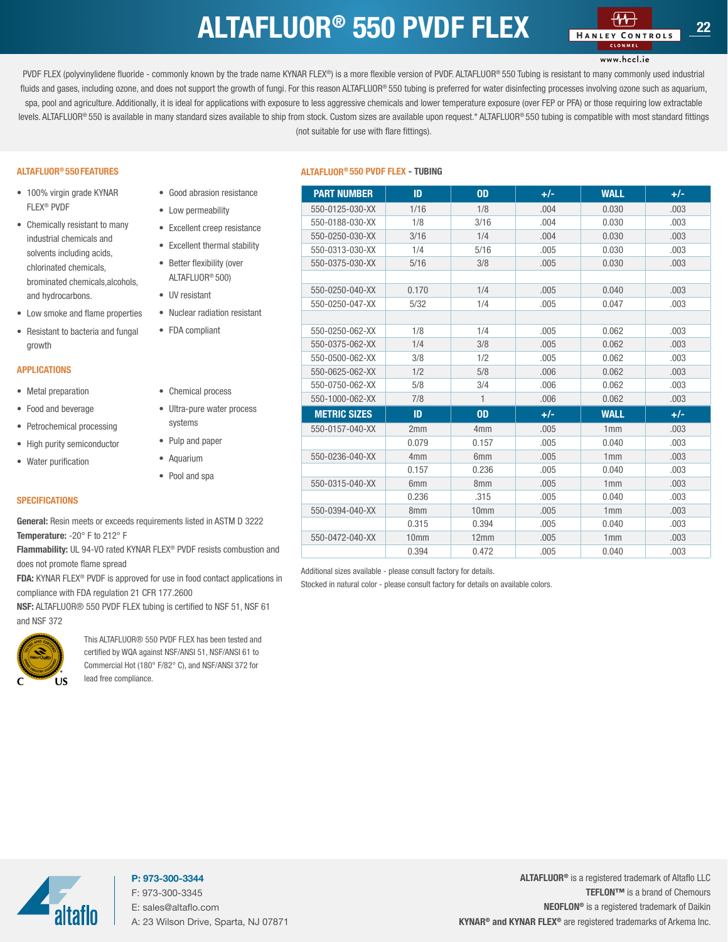### $ALTAFLUOR<sup>®</sup>$  550 PVDF FLEX  $H_{AMEX \, conv. 22}$

### www.hccl.ie

<span id="page-21-0"></span>PVDF FLEX (polyvinylidene fluoride - commonly known by the trade name KYNAR FLEX®) is a more flexible version of PVDF. ALTAFLUOR® 550 Tubing is resistant to many commonly used industrial fluids and gases, including ozone, and does not support the growth of fungi. For this reason ALTAFLUOR® 550 tubing is preferred for water disinfecting processes involving ozone such as aquarium, spa, pool and agriculture. Additionally, it is ideal for applications with exposure to less aggressive chemicals and lower temperature exposure (over FEP or PFA) or those requiring low extractable levels. ALTAFLUOR® 550 is available in many standard sizes available to ship from stock. Custom sizes are available upon request.\* ALTAFLUOR® 550 tubing is compatible with most standard fittings (not suitable for use with flare fittings).

#### ALTAFLUOR® 550 FEATURES

- 100% virgin grade KYNAR FLEX® PVDF
- Chemically resistant to many industrial chemicals and solvents including acids, chlorinated chemicals, brominated chemicals,alcohols, and hydrocarbons.
- Low smoke and flame properties
- Resistant to bacteria and fungal growth

#### APPLICATIONS

- Metal preparation
- Food and beverage
- Petrochemical processing
- High purity semiconductor
- Water purification
- Aquarium • Pool and spa

systems • Pulp and paper

• Good abrasion resistance • Low permeability

• Excellent creep resistance • Excellent thermal stability • Better flexibility (over ALTAFLUOR® 500) • UV resistant

• Nuclear radiation resistant

• FDA compliant

• Chemical process • Ultra-pure water process

#### **SPECIFICATIONS**

General: Resin meets or exceeds requirements listed in ASTM D 3222 Temperature: -20° F to 212° F

Flammability: UL 94-VO rated KYNAR FLEX® PVDF resists combustion and does not promote flame spread

FDA: KYNAR FLEX® PVDF is approved for use in food contact applications in compliance with FDA regulation 21 CFR 177.2600

NSF: ALTAFLUOR® 550 PVDF FLEX tubing is certified to NSF 51, NSF 61 and NSF 372



This ALTAFLUOR® 550 PVDF FLEX has been tested and certified by WQA against NSF/ANSI 51, NSF/ANSI 61 to Commercial Hot (180° F/82° C), and NSF/ANSI 372 for lead free compliance.

#### ALTAFLUOR® 550 PVDF FLEX - TUBING

| <b>PART NUMBER</b>  | ID               | <b>OD</b>       | $+/-$ | <b>WALL</b> | $+/-$ |
|---------------------|------------------|-----------------|-------|-------------|-------|
| 550-0125-030-XX     | 1/16             | 1/8             | .004  | 0.030       | .003  |
| 550-0188-030-XX     | 1/8              | 3/16            | .004  | 0.030       | .003  |
| 550-0250-030-XX     | 3/16             | 1/4             | .004  | 0.030       | .003  |
| 550-0313-030-XX     | 1/4              | 5/16            | .005  | 0.030       | .003  |
| 550-0375-030-XX     | 5/16             | 3/8             | .005  | 0.030       | .003  |
|                     |                  |                 |       |             |       |
| 550-0250-040-XX     | 0.170            | 1/4             | .005  | 0.040       | .003  |
| 550-0250-047-XX     | 5/32             | 1/4             | .005  | 0.047       | .003  |
|                     |                  |                 |       |             |       |
| 550-0250-062-XX     | 1/8              | 1/4             | .005  | 0.062       | .003  |
| 550-0375-062-XX     | 1/4              | 3/8             | .005  | 0.062       | .003  |
| 550-0500-062-XX     | 3/8              | 1/2             | .005  | 0.062       | .003  |
| 550-0625-062-XX     | 1/2              | 5/8             | .006  | 0.062       | .003  |
| 550-0750-062-XX     | 5/8              | 3/4             | .006  | 0.062       | .003  |
| 550-1000-062-XX     | 7/8              | $\mathbf{1}$    | .006  | 0.062       | .003  |
| <b>METRIC SIZES</b> | ID               | <b>OD</b>       | $+/-$ | <b>WALL</b> | $+/-$ |
| 550-0157-040-XX     | 2mm              | 4 <sub>mm</sub> | .005  | 1mm         | .003  |
|                     | 0.079            | 0.157           | .005  | 0.040       | .003  |
| 550-0236-040-XX     | 4 <sub>mm</sub>  | 6 <sub>mm</sub> | .005  | 1mm         | .003  |
|                     | 0.157            | 0.236           | .005  | 0.040       | .003  |
| 550-0315-040-XX     | 6 <sub>mm</sub>  | 8 <sub>mm</sub> | .005  | 1mm         | .003  |
|                     | 0.236            | .315            | .005  | 0.040       | .003  |
| 550-0394-040-XX     | 8 <sub>mm</sub>  | 10mm            | .005  | 1mm         | .003  |
|                     | 0.315            | 0.394           | .005  | 0.040       | .003  |
| 550-0472-040-XX     | 10 <sub>mm</sub> | 12mm            | .005  | 1mm         | .003  |
|                     | 0.394            | 0.472           | .005  | 0.040       | .003  |

Additional sizes available - please consult factory for details.

Stocked in natural color - please consult factory for details on available colors.



P: 973-300-3344 F: 973-300-3345 E: sales@altaflo.com A: 23 Wilson Drive, Sparta, NJ 07871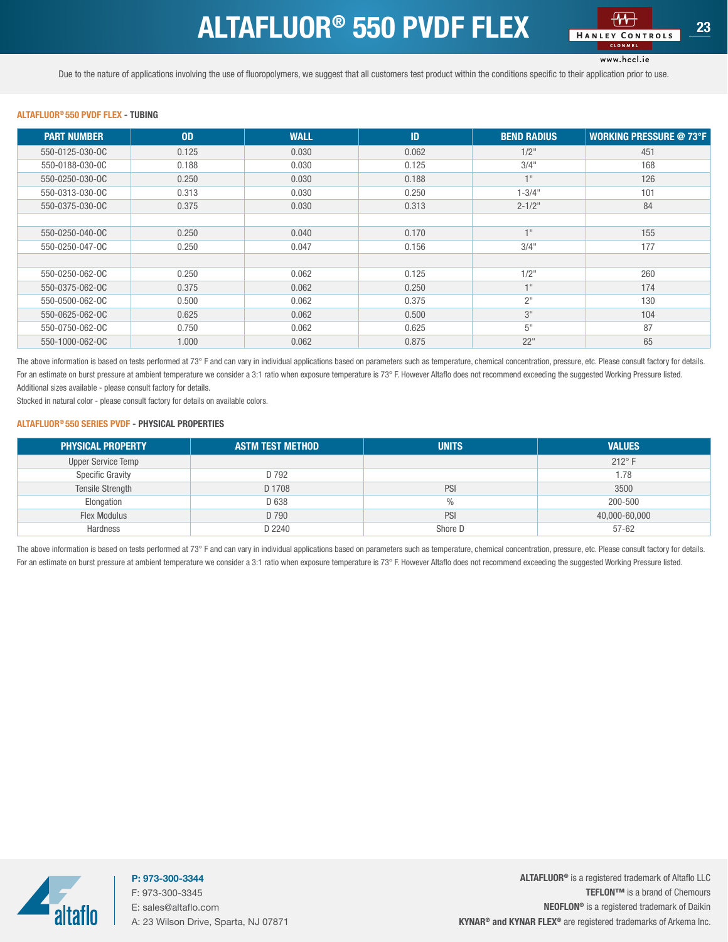## ALTAFLUOR<sup>®</sup> 550 PVDF FLEX

#### www.hccl.ie

<span id="page-22-0"></span>Due to the nature of applications involving the use of fluoropolymers, we suggest that all customers test product within the conditions specific to their application prior to use.

#### ALTAFLUOR® 550 PVDF FLEX - TUBING

| <b>PART NUMBER</b> | 0 <sub>D</sub> | <b>WALL</b> | ID    | <b>BEND RADIUS</b> | <b>WORKING PRESSURE @ 73°F</b> |
|--------------------|----------------|-------------|-------|--------------------|--------------------------------|
| 550-0125-030-0C    | 0.125          | 0.030       | 0.062 | $1/2$ "            | 451                            |
| 550-0188-030-0C    | 0.188          | 0.030       | 0.125 | 3/4"               | 168                            |
| 550-0250-030-0C    | 0.250          | 0.030       | 0.188 | $+11$              | 126                            |
| 550-0313-030-0C    | 0.313          | 0.030       | 0.250 | $1 - 3/4$ "        | 101                            |
| 550-0375-030-0C    | 0.375          | 0.030       | 0.313 | $2 - 1/2$ "        | 84                             |
|                    |                |             |       |                    |                                |
| 550-0250-040-0C    | 0.250          | 0.040       | 0.170 | $+11$              | 155                            |
| 550-0250-047-0C    | 0.250          | 0.047       | 0.156 | 3/4"               | 177                            |
|                    |                |             |       |                    |                                |
| 550-0250-062-0C    | 0.250          | 0.062       | 0.125 | $1/2$ "            | 260                            |
| 550-0375-062-0C    | 0.375          | 0.062       | 0.250 | $+11$              | 174                            |
| 550-0500-062-0C    | 0.500          | 0.062       | 0.375 | $2^{\prime\prime}$ | 130                            |
| 550-0625-062-0C    | 0.625          | 0.062       | 0.500 | 3"                 | 104                            |
| 550-0750-062-0C    | 0.750          | 0.062       | 0.625 | 5"                 | 87                             |
| 550-1000-062-0C    | 1.000          | 0.062       | 0.875 | 22"                | 65                             |

The above information is based on tests performed at 73° F and can vary in individual applications based on parameters such as temperature, chemical concentration, pressure, etc. Please consult factory for details. For an estimate on burst pressure at ambient temperature we consider a 3:1 ratio when exposure temperature is 73° F. However Altaflo does not recommend exceeding the suggested Working Pressure listed. Additional sizes available - please consult factory for details.

Stocked in natural color - please consult factory for details on available colors.

#### ALTAFLUOR® 550 SERIES PVDF - PHYSICAL PROPERTIES

| <b>PHYSICAL PROPERTY</b> | <b>ASTM TEST METHOD</b> | <b>UNITS</b> | <b>VALUES</b>   |
|--------------------------|-------------------------|--------------|-----------------|
| Upper Service Temp       |                         |              | $212^{\circ}$ F |
| <b>Specific Gravity</b>  | D 792                   |              | 1.78            |
| Tensile Strength         | D 1708                  | PSI          | 3500            |
| Elongation               | D 638                   | %            | 200-500         |
| <b>Flex Modulus</b>      | D 790                   | PSI          | 40,000-60,000   |
| Hardness                 | D 2240                  | Shore D      | $57 - 62$       |

The above information is based on tests performed at 73° F and can vary in individual applications based on parameters such as temperature, chemical concentration, pressure, etc. Please consult factory for details. For an estimate on burst pressure at ambient temperature we consider a 3:1 ratio when exposure temperature is 73° F. However Altaflo does not recommend exceeding the suggested Working Pressure listed.



P: 973-300-3344 F: 973-300-3345 E: sales@altaflo.com A: 23 Wilson Drive, Sparta, NJ 07871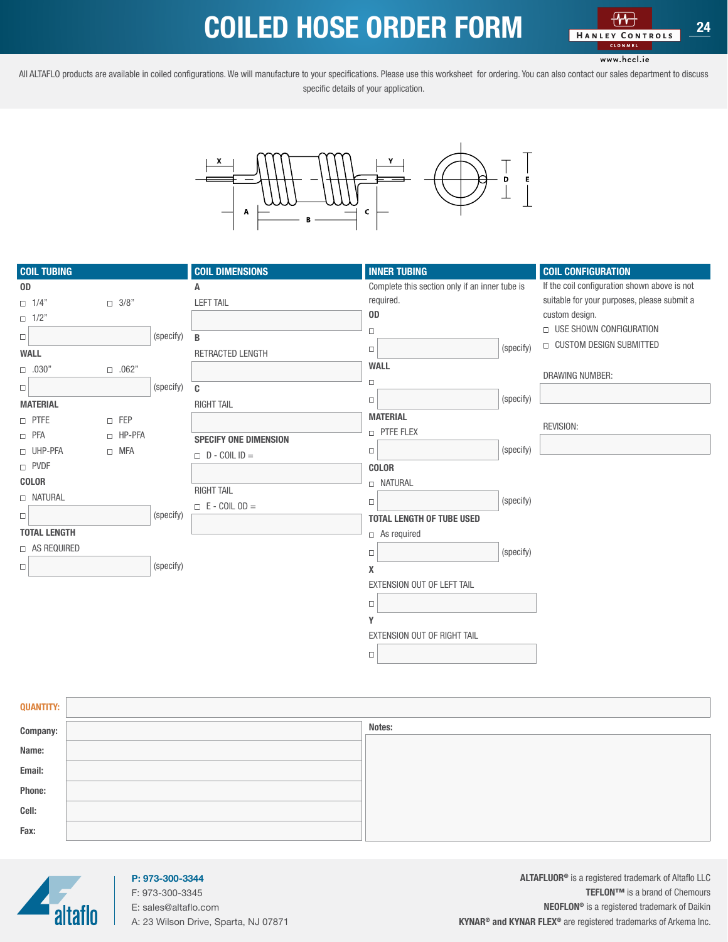## COILED HOSE ORDER FORM

www.hccl.ie

<span id="page-23-0"></span>All ALTAFLO products are available in coiled configurations. We will manufacture to your specifications. Please use this worksheet for ordering. You can also contact our sales department to discuss specific details of your application.



| <b>COIL TUBING</b>  |              |           | <b>COIL DIMENSIONS</b>       | <b>INNER TUBING</b>                            |           | <b>COIL CONFIGURATION</b>                    |
|---------------------|--------------|-----------|------------------------------|------------------------------------------------|-----------|----------------------------------------------|
| OD                  |              |           | Α                            | Complete this section only if an inner tube is |           | If the coil configuration shown above is not |
| $\Box$ 1/4"         | $\Box$ 3/8"  |           | <b>LEFT TAIL</b>             | required.                                      |           | suitable for your purposes, please submit a  |
| $\Box$ 1/2"         |              |           |                              | 0 <sub>D</sub>                                 |           | custom design.                               |
| $\Box$              |              | (specify) | B                            | $\Box$                                         |           | <b>USE SHOWN CONFIGURATION</b>               |
| <b>WALL</b>         |              |           | RETRACTED LENGTH             | $\Box$                                         | (specify) | <b>CUSTOM DESIGN SUBMITTED</b>               |
| $\Box$ .030"        | $\Box$ .062" |           |                              | <b>WALL</b>                                    |           |                                              |
| $\Box$              |              | (specify) | C                            | $\Box$                                         |           | <b>DRAWING NUMBER:</b>                       |
| <b>MATERIAL</b>     |              |           | <b>RIGHT TAIL</b>            | $\Box$                                         | (specify) |                                              |
| $\Box$ PTFE         | $\Box$ FEP   |           |                              | <b>MATERIAL</b>                                |           |                                              |
| $\Box$ PFA          | □ HP-PFA     |           | <b>SPECIFY ONE DIMENSION</b> | <b>D</b> PTFE FLEX                             |           | <b>REVISION:</b>                             |
| UHP-PFA             | $\Box$ MFA   |           | $D - COILID =$               | $\Box$                                         | (specify) |                                              |
| D PVDF              |              |           |                              | <b>COLOR</b>                                   |           |                                              |
| <b>COLOR</b>        |              |           |                              | <b>D NATURAL</b>                               |           |                                              |
| <b>NATURAL</b>      |              |           | <b>RIGHT TAIL</b>            | $\Box$                                         | (specify) |                                              |
| $\Box$              |              | (specify) | $\Box$ E - COIL OD =         | <b>TOTAL LENGTH OF TUBE USED</b>               |           |                                              |
| <b>TOTAL LENGTH</b> |              |           |                              | $\Box$ As required                             |           |                                              |
| □ AS REQUIRED       |              |           |                              |                                                |           |                                              |
|                     |              | (specify) |                              | $\Box$                                         | (specify) |                                              |
| $\Box$              |              |           |                              | X                                              |           |                                              |
|                     |              |           |                              | EXTENSION OUT OF LEFT TAIL                     |           |                                              |
|                     |              |           |                              | $\Box$                                         |           |                                              |
|                     |              |           |                              | Υ                                              |           |                                              |
|                     |              |           |                              | EXTENSION OUT OF RIGHT TAIL                    |           |                                              |
|                     |              |           |                              | $\Box$                                         |           |                                              |

| <b>QUANTITY:</b> |        |
|------------------|--------|
| Company:         | Notes: |
| Name:            |        |
| Email:           |        |
| Phone:           |        |
| Cell:            |        |
| Fax:             |        |



### P: 973-300-3344 F: 973-300-3345

E: sales@altaflo.com A: 23 Wilson Drive, Sparta, NJ 07871